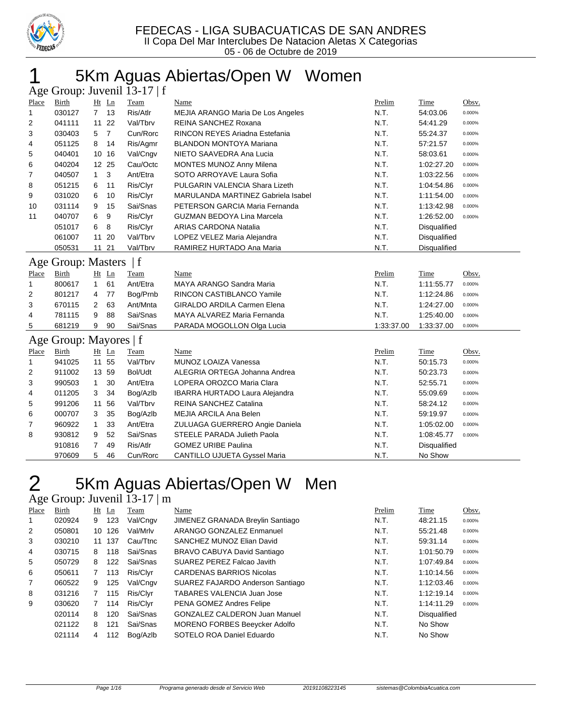

# 5Km Aguas Abiertas/Open W Women

|              |                        |                 |                | Age Group: Juvenil 13-17   f |                                       |            |                     |        |
|--------------|------------------------|-----------------|----------------|------------------------------|---------------------------------------|------------|---------------------|--------|
| Place        | <b>Birth</b>           | Ht Ln           |                | Team                         | Name                                  | Prelim     | Time                | Obsv.  |
| 1            | 030127                 | 7 <sub>13</sub> |                | Ris/Atlr                     | MEJIA ARANGO Maria De Los Angeles     | N.T.       | 54:03.06            | 0.000% |
| 2            | 041111                 | 11 22           |                | Val/Tbrv                     | REINA SANCHEZ Roxana                  | N.T.       | 54:41.29            | 0.000% |
| 3            | 030403                 | 5               | $\overline{7}$ | Cun/Rorc                     | RINCON REYES Ariadna Estefania        | N.T.       | 55:24.37            | 0.000% |
| 4            | 051125                 | 8               | 14             | Ris/Agmr                     | <b>BLANDON MONTOYA Mariana</b>        | N.T.       | 57:21.57            | 0.000% |
| 5            | 040401                 | 10 16           |                | Val/Cngv                     | NIETO SAAVEDRA Ana Lucia              | N.T.       | 58:03.61            | 0.000% |
| 6            | 040204                 | 12 25           |                | Cau/Octc                     | MONTES MUNOZ Anny Milena              | N.T.       | 1:02:27.20          | 0.000% |
| 7            | 040507                 | $\mathbf{1}$    | 3              | Ant/Etra                     | SOTO ARROYAVE Laura Sofia             | N.T.       | 1:03:22.56          | 0.000% |
| 8            | 051215                 | 6               | 11             | Ris/Clyr                     | PULGARIN VALENCIA Shara Lizeth        | N.T.       | 1:04:54.86          | 0.000% |
| 9            | 031020                 | 6               | 10             | Ris/Clyr                     | MARULANDA MARTINEZ Gabriela Isabel    | N.T.       | 1:11:54.00          | 0.000% |
| 10           | 031114                 | 9               | 15             | Sai/Snas                     | PETERSON GARCIA Maria Fernanda        | N.T.       | 1:13:42.98          | 0.000% |
| 11           | 040707                 | 6               | 9              | Ris/Clyr                     | <b>GUZMAN BEDOYA Lina Marcela</b>     | N.T.       | 1:26:52.00          | 0.000% |
|              | 051017                 | 6               | 8              | Ris/Clyr                     | <b>ARIAS CARDONA Natalia</b>          | N.T.       | Disqualified        |        |
|              | 061007                 | 11 20           |                | Val/Tbrv                     | LOPEZ VELEZ Maria Alejandra           | N.T.       | Disqualified        |        |
|              | 050531                 | 11 21           |                | Val/Tbrv                     | RAMIREZ HURTADO Ana Maria             | N.T.       | <b>Disqualified</b> |        |
|              | Age Group: Masters     |                 |                | f                            |                                       |            |                     |        |
| Place        | Birth                  | Ht Ln           |                | Team                         | Name                                  | Prelim     | Time                | Obsv.  |
| $\mathbf{1}$ | 800617                 | $\mathbf{1}$    | 61             | Ant/Etra                     | MAYA ARANGO Sandra Maria              | N.T.       | 1:11:55.77          | 0.000% |
| 2            | 801217                 | 4               | 77             | Bog/Prnb                     | RINCON CASTIBLANCO Yamile             | N.T.       | 1:12:24.86          | 0.000% |
| 3            | 670115                 | 2               | 63             | Ant/Mnta                     | <b>GIRALDO ARDILA Carmen Elena</b>    | N.T.       | 1:24:27.00          | 0.000% |
| 4            | 781115                 | 9               | 88             | Sai/Snas                     | MAYA ALVAREZ Maria Fernanda           | N.T.       | 1:25:40.00          | 0.000% |
| 5            | 681219                 | 9               | 90             | Sai/Snas                     | PARADA MOGOLLON Olga Lucia            | 1:33:37.00 | 1:33:37.00          | 0.000% |
|              | Age Group: Mayores   f |                 |                |                              |                                       |            |                     |        |
| Place        | Birth                  | Ht Ln           |                | Team                         | Name                                  | Prelim     | Time                | Obsv.  |
| 1            | 941025                 | 11 55           |                | Val/Tbrv                     | MUNOZ LOAIZA Vanessa                  | N.T.       | 50:15.73            | 0.000% |
| 2            | 911002                 | 13 59           |                | Bol/Udt                      | ALEGRIA ORTEGA Johanna Andrea         | N.T.       | 50:23.73            | 0.000% |
| 3            | 990503                 | $\mathbf{1}$    | 30             | Ant/Etra                     | LOPERA OROZCO Maria Clara             | N.T.       | 52:55.71            | 0.000% |
| 4            | 011205                 | 3               | 34             | Bog/Azlb                     | <b>IBARRA HURTADO Laura Alejandra</b> | N.T.       | 55:09.69            | 0.000% |
| 5            | 991206                 | 11              | 56             | Val/Tbrv                     | <b>REINA SANCHEZ Catalina</b>         | N.T.       | 58:24.12            | 0.000% |
| 6            | 000707                 | 3               | 35             | Bog/Azlb                     | MEJIA ARCILA Ana Belen                | N.T.       | 59:19.97            | 0.000% |
| 7            | 960922                 | 1               | 33             | Ant/Etra                     | ZULUAGA GUERRERO Angie Daniela        | N.T.       | 1:05:02.00          | 0.000% |
| 8            | 930812                 | 9               | 52             | Sai/Snas                     | STEELE PARADA Julieth Paola           | N.T.       | 1:08:45.77          | 0.000% |
|              | 910816                 | 7               | 49             | Ris/Atlr                     | <b>GOMEZ URIBE Paulina</b>            | N.T.       | Disqualified        |        |
|              | 970609                 | 5               | 46             | Cun/Rorc                     | <b>CANTILLO UJUETA Gyssel Maria</b>   | N.T.       | No Show             |        |

# 2 5Km Aguas Abiertas/Open W Men

### Age Group: Juvenil 13-17 | m

| Place | Birth  |    | $Ht$ Ln | Team     | Name                                 | Prelim | Time                | Obsv.  |
|-------|--------|----|---------|----------|--------------------------------------|--------|---------------------|--------|
| 1     | 020924 | 9  | 123     | Val/Cngv | JIMENEZ GRANADA Breylin Santiago     | N.T.   | 48:21.15            | 0.000% |
| 2     | 050801 | 10 | 126     | Val/Mrlv | ARANGO GONZALEZ Enmanuel             | N.T.   | 55:21.48            | 0.000% |
| 3     | 030210 | 11 | 137     | Cau/Ttnc | SANCHEZ MUNOZ Elian David            | N.T.   | 59:31.14            | 0.000% |
| 4     | 030715 | 8  | 118     | Sai/Snas | BRAVO CABUYA David Santiago          | N.T.   | 1:01:50.79          | 0.000% |
| 5     | 050729 | 8  | 122     | Sai/Snas | SUAREZ PEREZ Falcao Javith           | N.T.   | 1:07:49.84          | 0.000% |
| 6     | 050611 | 7  | 113     | Ris/Clvr | <b>CARDENAS BARRIOS Nicolas</b>      | N.T.   | 1:10:14.56          | 0.000% |
| 7     | 060522 | 9  | 125     | Val/Cngv | SUAREZ FAJARDO Anderson Santiago     | N.T.   | 1:12:03.46          | 0.000% |
| 8     | 031216 | 7  | 115     | Ris/Clvr | TABARES VALENCIA Juan Jose           | N.T.   | 1:12:19.14          | 0.000% |
| 9     | 030620 | 7  | 114     | Ris/Clvr | PENA GOMEZ Andres Felipe             | N.T.   | 1:14:11.29          | 0.000% |
|       | 020114 | 8  | 120     | Sai/Snas | <b>GONZALEZ CALDERON Juan Manuel</b> | N.T.   | <b>Disqualified</b> |        |
|       | 021122 | 8  | 121     | Sai/Snas | <b>MORENO FORBES Beeycker Adolfo</b> | N.T.   | No Show             |        |
|       | 021114 | 4  | 112     | Bog/Azlb | SOTELO ROA Daniel Eduardo            | N.T.   | No Show             |        |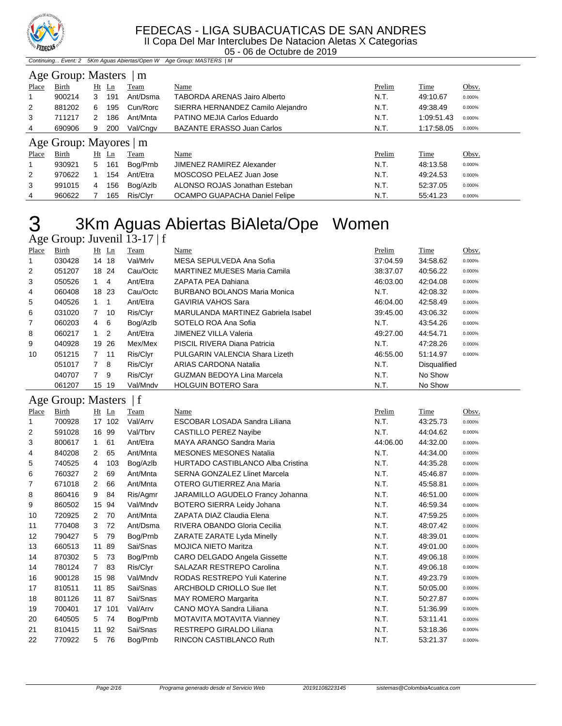

05 - 06 de Octubre de 2019

Continuing... Event: 2 5Km Aguas Abiertas/Open W Age Group: MASTERS | M

|                        | Age Group: Masters<br>m |   |         |          |                                   |        |            |        |  |  |  |
|------------------------|-------------------------|---|---------|----------|-----------------------------------|--------|------------|--------|--|--|--|
| Place                  | Birth                   |   | $Ht$ Ln | Team     | Name                              | Prelim | Time       | Obsv.  |  |  |  |
|                        | 900214                  | 3 | 191     | Ant/Dsma | TABORDA ARENAS Jairo Alberto      | N.T.   | 49:10.67   | 0.000% |  |  |  |
| 2                      | 881202                  | 6 | 195     | Cun/Rorc | SIERRA HERNANDEZ Camilo Alejandro | N.T.   | 49:38.49   | 0.000% |  |  |  |
| 3                      | 711217                  | 2 | 186     | Ant/Mnta | PATINO MEJIA Carlos Eduardo       | N.T.   | 1:09:51.43 | 0.000% |  |  |  |
| 4                      | 690906                  | 9 | 200     | Val/Cngv | <b>BAZANTE ERASSO Juan Carlos</b> | N.T.   | 1:17:58.05 | 0.000% |  |  |  |
| Age Group: Mayores   m |                         |   |         |          |                                   |        |            |        |  |  |  |
|                        |                         |   |         |          |                                   |        |            |        |  |  |  |
| Place                  | Birth                   |   | $Ht$ Ln | Team     | Name                              | Prelim | Time       | Obsv.  |  |  |  |
| 1                      | 930921                  | 5 | 161     | Bog/Prnb | JIMENEZ RAMIREZ Alexander         | N.T.   | 48:13.58   | 0.000% |  |  |  |
| 2                      | 970622                  |   | 154     | Ant/Etra | MOSCOSO PELAEZ Juan Jose          | N.T.   | 49:24.53   | 0.000% |  |  |  |
| 3                      | 991015                  | 4 | 156     | Bog/Azlb | ALONSO ROJAS Jonathan Esteban     | N.T.   | 52:37.05   | 0.000% |  |  |  |

# 3Km Aguas Abiertas BiAleta/Ope Women

|       |        |                |       | Age Group: Juvenil 13-17   f |                                     |          |                     |        |
|-------|--------|----------------|-------|------------------------------|-------------------------------------|----------|---------------------|--------|
| Place | Birth  | $Ht$ Ln        |       | Team                         | Name                                | Prelim   | Time                | Obsv.  |
|       | 030428 |                | 14 18 | Val/Mrlv                     | MESA SEPULVEDA Ana Sofia            | 37:04.59 | 34:58.62            | 0.000% |
| 2     | 051207 |                | 18 24 | Cau/Octc                     | <b>MARTINEZ MUESES Maria Camila</b> | 38:37.07 | 40:56.22            | 0.000% |
| 3     | 050526 | $1 \quad 4$    |       | Ant/Etra                     | ZAPATA PEA Dahiana                  | 46:03.00 | 42:04.08            | 0.000% |
| 4     | 060408 |                | 18 23 | Cau/Octc                     | <b>BURBANO BOLANOS Maria Monica</b> | N.T.     | 42:08.32            | 0.000% |
| 5     | 040526 |                | -1    | Ant/Etra                     | <b>GAVIRIA VAHOS Sara</b>           | 46:04.00 | 42:58.49            | 0.000% |
| 6     | 031020 | $\overline{7}$ | 10    | Ris/Clyr                     | MARULANDA MARTINEZ Gabriela Isabel  | 39:45.00 | 43:06.32            | 0.000% |
| 7     | 060203 | 4              | 6     | Bog/Azlb                     | SOTELO ROA Ana Sofia                | N.T.     | 43:54.26            | 0.000% |
| 8     | 060217 | $1\quad 2$     |       | Ant/Etra                     | <b>JIMENEZ VILLA Valeria</b>        | 49:27.00 | 44:54.71            | 0.000% |
| 9     | 040928 |                | 19 26 | Mex/Mex                      | PISCIL RIVERA Diana Patricia        | N.T.     | 47:28.26            | 0.000% |
| 10    | 051215 | 7, 11          |       | Ris/Clyr                     | PULGARIN VALENCIA Shara Lizeth      | 46:55.00 | 51:14.97            | 0.000% |
|       | 051017 | $7^{\circ}$    | -8    | Ris/Clyr                     | ARIAS CARDONA Natalia               | N.T.     | <b>Disqualified</b> |        |
|       | 040707 | 7 9            |       | Ris/Clyr                     | <b>GUZMAN BEDOYA Lina Marcela</b>   | N.T.     | No Show             |        |
|       | 061207 |                | 15 19 | Val/Mndv                     | <b>HOLGUIN BOTERO Sara</b>          | N.T.     | No Show             |        |

### Age Group: Masters | f

| Place             | Birth  |              | $Ht$ Ln | Team     | Name                                     | Prelim   | <b>Time</b> | Obsv.  |
|-------------------|--------|--------------|---------|----------|------------------------------------------|----------|-------------|--------|
| 1                 | 700928 |              | 17 102  | Val/Arrv | ESCOBAR LOSADA Sandra Liliana            | N.T.     | 43:25.73    | 0.000% |
| 2                 | 591028 |              | 16 99   | Val/Tbrv | CASTILLO PEREZ Nayibe                    | N.T.     | 44:04.62    | 0.000% |
| 3                 | 800617 | $\mathbf{1}$ | 61      | Ant/Etra | MAYA ARANGO Sandra Maria                 | 44:06.00 | 44:32.00    | 0.000% |
| 4                 | 840208 | 2            | 65      | Ant/Mnta | <b>MESONES MESONES Natalia</b>           | N.T.     | 44:34.00    | 0.000% |
| 5                 | 740525 | 4            | 103     | Bog/Azlb | <b>HURTADO CASTIBLANCO Alba Cristina</b> | N.T.     | 44:35.28    | 0.000% |
| 6                 | 760327 | 2            | 69      | Ant/Mnta | SERNA GONZALEZ Llinet Marcela            | N.T.     | 45:46.87    | 0.000% |
| 7                 | 671018 | 2            | 66      | Ant/Mnta | OTERO GUTIERREZ Ana Maria                | N.T.     | 45:58.81    | 0.000% |
| 8                 | 860416 | 9            | 84      | Ris/Agmr | JARAMILLO AGUDELO Francy Johanna         | N.T.     | 46:51.00    | 0.000% |
| 9                 | 860502 |              | 15 94   | Val/Mndv | BOTERO SIERRA Leidy Johana               | N.T.     | 46.59.34    | 0.000% |
| 10                | 720925 | $\mathbf{2}$ | 70      | Ant/Mnta | ZAPATA DIAZ Claudia Elena                | N.T.     | 47:59.25    | 0.000% |
| 11                | 770408 | 3            | 72      | Ant/Dsma | RIVERA OBANDO Gloria Cecilia             | N.T.     | 48:07.42    | 0.000% |
| $12 \overline{ }$ | 790427 | 5            | 79      | Bog/Prnb | ZARATE ZARATE Lyda Minelly               | N.T.     | 48:39.01    | 0.000% |
| 13                | 660513 | 11           | 89      | Sai/Snas | <b>MOJICA NIETO Maritza</b>              | N.T.     | 49:01.00    | 0.000% |
| 14                | 870302 | 5            | 73      | Bog/Prnb | CARO DELGADO Angela Gissette             | N.T.     | 49:06.18    | 0.000% |
| 14                | 780124 | $7^{\circ}$  | 83      | Ris/Clyr | SALAZAR RESTREPO Carolina                | N.T.     | 49:06.18    | 0.000% |
| 16                | 900128 |              | 15 98   | Val/Mndv | RODAS RESTREPO Yuli Katerine             | N.T.     | 49:23.79    | 0.000% |
| 17                | 810511 |              | 11 85   | Sai/Snas | ARCHBOLD CRIOLLO Sue llet                | N.T.     | 50:05.00    | 0.000% |
| 18                | 801126 |              | 11 87   | Sai/Snas | <b>MAY ROMERO Margarita</b>              | N.T.     | 50:27.87    | 0.000% |
| 19                | 700401 |              | 17 101  | Val/Arrv | CANO MOYA Sandra Liliana                 | N.T.     | 51:36.99    | 0.000% |
| 20                | 640505 | 5            | 74      | Bog/Prnb | MOTAVITA MOTAVITA Vianney                | N.T.     | 53:11.41    | 0.000% |
| 21                | 810415 |              | 11 92   | Sai/Snas | RESTREPO GIRALDO Liliana                 | N.T.     | 53:18.36    | 0.000% |
| 22                | 770922 | 5            | 76      | Bog/Prnb | RINCON CASTIBLANCO Ruth                  | N.T.     | 53:21.37    | 0.000% |
|                   |        |              |         |          |                                          |          |             |        |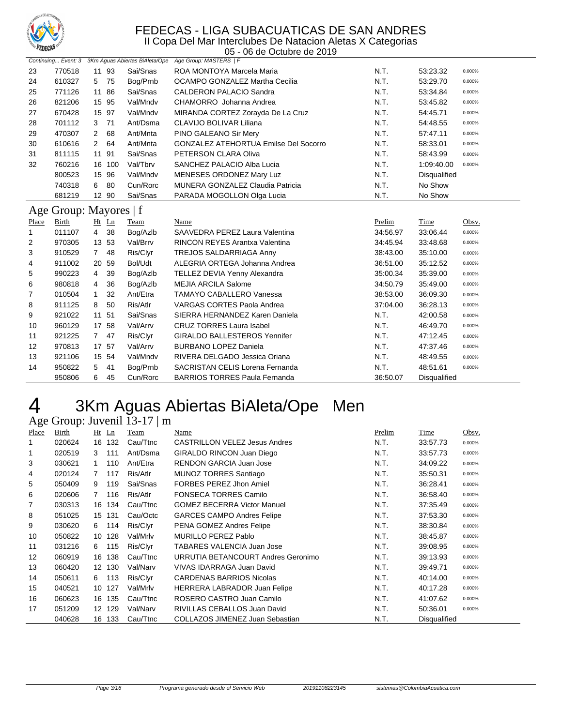

05 - 06 de Octubre de 2019

|                        |              |                      | Continuing Event: 3 3Km Aguas Abiertas BiAleta/Ope | Age Group: MASTERS   F                       |          |                     |        |
|------------------------|--------------|----------------------|----------------------------------------------------|----------------------------------------------|----------|---------------------|--------|
| 23                     | 770518       | 11 93                | Sai/Snas                                           | ROA MONTOYA Marcela Maria                    | N.T.     | 53:23.32            | 0.000% |
| 24                     | 610327       | 5 75                 | Bog/Prnb                                           | OCAMPO GONZALEZ Martha Cecilia               | N.T.     | 53:29.70            | 0.000% |
| 25                     | 771126       | 11 86                | Sai/Snas                                           | <b>CALDERON PALACIO Sandra</b>               | N.T.     | 53:34.84            | 0.000% |
| 26                     | 821206       | 15 95                | Val/Mndv                                           | CHAMORRO Johanna Andrea                      | N.T.     | 53:45.82            | 0.000% |
| 27                     | 670428       | 15 97                | Val/Mndv                                           | MIRANDA CORTEZ Zorayda De La Cruz            | N.T.     | 54:45.71            | 0.000% |
| 28                     | 701112       | 71<br>3              | Ant/Dsma                                           | CLAVIJO BOLIVAR Liliana                      | N.T.     | 54:48.55            | 0.000% |
| 29                     | 470307       | 68<br>$\mathbf{2}$   | Ant/Mnta                                           | PINO GALEANO Sir Mery                        | N.T.     | 57:47.11            | 0.000% |
| 30                     | 610616       | 64<br>$\overline{2}$ | Ant/Mnta                                           | <b>GONZALEZ ATEHORTUA Emilse Del Socorro</b> | N.T.     | 58:33.01            | 0.000% |
| 31                     | 811115       | 11 91                | Sai/Snas                                           | PETERSON CLARA Oliva                         | N.T.     | 58:43.99            | 0.000% |
| 32                     | 760216       | 16 100               | Val/Tbrv                                           | SANCHEZ PALACIO Alba Lucia                   | N.T.     | 1:09:40.00          | 0.000% |
|                        | 800523       | 15 96                | Val/Mndv                                           | MENESES ORDONEZ Mary Luz                     | N.T.     | Disqualified        |        |
|                        | 740318       | 80<br>6              | Cun/Rorc                                           | MUNERA GONZALEZ Claudia Patricia             | N.T.     | No Show             |        |
|                        | 681219       | 12 90                | Sai/Snas                                           | PARADA MOGOLLON Olga Lucia                   | N.T.     | No Show             |        |
| Age Group: Mayores   f |              |                      |                                                    |                                              |          |                     |        |
| Place                  | <b>Birth</b> | Ht Ln                | <b>Team</b>                                        | Name                                         | Prelim   | Time                | Obsv.  |
| 1                      | 011107       | 38<br>$\overline{4}$ | Bog/Azlb                                           | SAAVEDRA PEREZ Laura Valentina               | 34:56.97 | 33:06.44            | 0.000% |
| 2                      | 970305       | 13 53                | Val/Brrv                                           | <b>RINCON REYES Arantxa Valentina</b>        | 34:45.94 | 33:48.68            | 0.000% |
| 3                      | 910529       | 7 48                 | Ris/Clyr                                           | TREJOS SALDARRIAGA Anny                      | 38:43.00 | 35:10.00            | 0.000% |
| 4                      | 911002       | 20 59                | Bol/Udt                                            | ALEGRIA ORTEGA Johanna Andrea                | 36:51.00 | 35:12.52            | 0.000% |
| 5                      | 990223       | 39<br>4              | Bog/Azlb                                           | TELLEZ DEVIA Yenny Alexandra                 | 35:00.34 | 35:39.00            | 0.000% |
| 6                      | 980818       | 36<br>4              | Bog/Azlb                                           | <b>MEJIA ARCILA Salome</b>                   | 34:50.79 | 35:49.00            | 0.000% |
| 7                      | 010504       | 32<br>$\mathbf{1}$   | Ant/Etra                                           | <b>TAMAYO CABALLERO Vanessa</b>              | 38:53.00 | 36:09.30            | 0.000% |
| 8                      | 911125       | 50<br>8              | Ris/Atlr                                           | <b>VARGAS CORTES Paola Andrea</b>            | 37:04.00 | 36:28.13            | 0.000% |
| 9                      | 921022       | 11 51                | Sai/Snas                                           | SIERRA HERNANDEZ Karen Daniela               | N.T.     | 42:00.58            | 0.000% |
| 10                     | 960129       | 17 58                | Val/Arrv                                           | <b>CRUZ TORRES Laura Isabel</b>              | N.T.     | 46:49.70            | 0.000% |
| 11                     | 921225       | 7 47                 | Ris/Clyr                                           | <b>GIRALDO BALLESTEROS Yennifer</b>          | N.T.     | 47:12.45            | 0.000% |
| 12                     | 970813       | 17 57                | Val/Arrv                                           | <b>BURBANO LOPEZ Daniela</b>                 | N.T.     | 47:37.46            | 0.000% |
| 13                     | 921106       | 15 54                | Val/Mndv                                           | RIVERA DELGADO Jessica Oriana                | N.T.     | 48:49.55            | 0.000% |
| 14                     | 950822       | 41<br>5              | Bog/Prnb                                           | <b>SACRISTAN CELIS Lorena Fernanda</b>       | N.T.     | 48:51.61            | 0.000% |
|                        | 950806       | 6<br>45              | Cun/Rorc                                           | <b>BARRIOS TORRES Paula Fernanda</b>         | 36:50.07 | <b>Disqualified</b> |        |

## 3Km Aguas Abiertas BiAleta/Ope Men Age Group: Juvenil 13-17 | m

#### Place Birth Ht Ln Team Name Prelim Time Obsv. 020624 16 132 Cau/Ttnc CASTRILLON VELEZ Jesus Andres N.T. 33:57.73 0.000% 1 020519 3 111 Ant/Dsma GIRALDO RINCON Juan Diego N.T. 33:57.73 0.000% 030621 1 110 Ant/Etra RENDON GARCIA Juan Jose N.T. 34:09.22 0.000% 020124 7 117 Ris/Atlr MUNOZ TORRES Santiago N.T. 35:50.31 0.000% 050409 9 119 Sai/Snas FORBES PEREZ Jhon Amiel N.T. 36:28.41 0.000% 020606 7 116 Ris/Atlr FONSECA TORRES Camilo N.T. 36:58.40 0.000% 030313 16 134 Cau/Ttnc GOMEZ BECERRA Victor Manuel N.T. 37:35.49 0.000% 051025 15 131 Cau/Octc GARCES CAMPO Andres Felipe N.T. 37:53.30 0.000% 030620 6 114 Ris/Clyr PENA GOMEZ Andres Felipe N.T. 38:30.84 0.000% 050822 10 128 Val/Mrlv MURILLO PEREZ Pablo N.T. 38:45.87 0.000% 031216 6 115 Ris/Clyr TABARES VALENCIA Juan Jose N.T. 39:08.95 0.000% 12 060919 16 138 Cau/Ttnc URRUTIA BETANCOURT Andres Geronimo N.T. 39:13.93 0.000% 060420 12 130 Val/Narv VIVAS IDARRAGA Juan David N.T. 39:49.71 0.000% 14 050611 6 113 Ris/Clyr CARDENAS BARRIOS Nicolas N.T. 40:14.00 0.000% 040521 10 127 Val/Mrlv HERRERA LABRADOR Juan Felipe N.T. 40:17.28 0.000% 16 060623 16 135 Cau/Ttnc ROSERO CASTRO Juan Camilo **N.T.** 41:07.62 0.000% 051209 12 129 Val/Narv RIVILLAS CEBALLOS Juan David N.T. 50:36.01 0.000% 040628 16 133 Cau/Ttnc COLLAZOS JIMENEZ Juan Sebastian M.T. Disqualified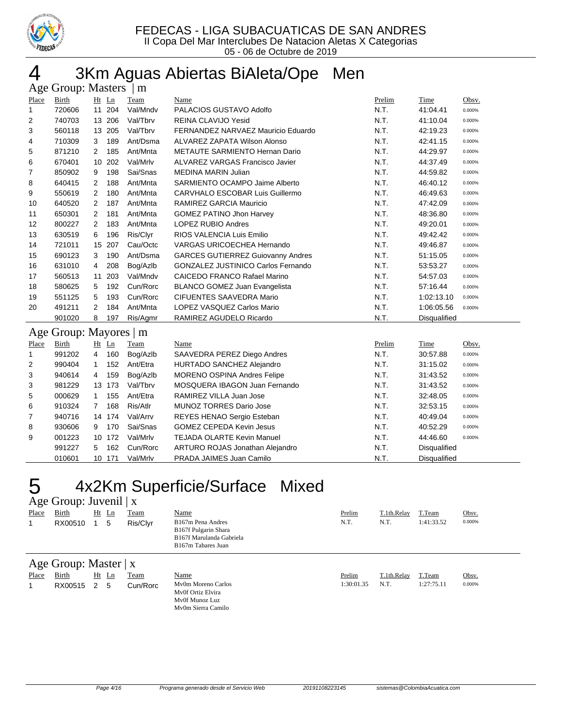

# 4 3Km Aguas Abiertas BiAleta/Ope Men

|       | Age Group: Masters<br>$\mid$ m |                      |         |          |                                           |        |                     |        |  |  |  |
|-------|--------------------------------|----------------------|---------|----------|-------------------------------------------|--------|---------------------|--------|--|--|--|
| Place | Birth                          |                      | $Ht$ Ln | Team     | Name                                      | Prelim | Time                | Obsv.  |  |  |  |
| 1     | 720606                         |                      | 11 204  | Val/Mndv | PALACIOS GUSTAVO Adolfo                   | N.T.   | 41:04.41            | 0.000% |  |  |  |
| 2     | 740703                         |                      | 13 206  | Val/Tbrv | REINA CLAVIJO Yesid                       | N.T.   | 41:10.04            | 0.000% |  |  |  |
| 3     | 560118                         |                      | 13 205  | Val/Tbrv | FERNANDEZ NARVAEZ Mauricio Eduardo        | N.T.   | 42:19.23            | 0.000% |  |  |  |
| 4     | 710309                         | 3                    | 189     | Ant/Dsma | <b>ALVAREZ ZAPATA Wilson Alonso</b>       | N.T.   | 42:41.15            | 0.000% |  |  |  |
| 5     | 871210                         | $\mathbf{2}^{\circ}$ | 185     | Ant/Mnta | METAUTE SARMIENTO Hernan Dario            | N.T.   | 44:29.97            | 0.000% |  |  |  |
| 6     | 670401                         | 10                   | 202     | Val/Mrlv | ALVAREZ VARGAS Francisco Javier           | N.T.   | 44:37.49            | 0.000% |  |  |  |
| 7     | 850902                         | 9                    | 198     | Sai/Snas | <b>MEDINA MARIN Julian</b>                | N.T.   | 44:59.82            | 0.000% |  |  |  |
| 8     | 640415                         | 2                    | 188     | Ant/Mnta | SARMIENTO OCAMPO Jaime Alberto            | N.T.   | 46:40.12            | 0.000% |  |  |  |
| 9     | 550619                         | 2                    | 180     | Ant/Mnta | CARVHALO ESCOBAR Luis Guillermo           | N.T.   | 46:49.63            | 0.000% |  |  |  |
| 10    | 640520                         | 2                    | 187     | Ant/Mnta | <b>RAMIREZ GARCIA Mauricio</b>            | N.T.   | 47:42.09            | 0.000% |  |  |  |
| 11    | 650301                         | 2                    | 181     | Ant/Mnta | <b>GOMEZ PATINO Jhon Harvey</b>           | N.T.   | 48:36.80            | 0.000% |  |  |  |
| 12    | 800227                         | 2                    | 183     | Ant/Mnta | <b>LOPEZ RUBIO Andres</b>                 | N.T.   | 49:20.01            | 0.000% |  |  |  |
| 13    | 630519                         | 6                    | 196     | Ris/Clyr | RIOS VALENCIA Luis Emilio                 | N.T.   | 49:42.42            | 0.000% |  |  |  |
| 14    | 721011                         | 15                   | 207     | Cau/Octc | <b>VARGAS URICOECHEA Hernando</b>         | N.T.   | 49:46.87            | 0.000% |  |  |  |
| 15    | 690123                         | 3                    | 190     | Ant/Dsma | <b>GARCES GUTIERREZ Guiovanny Andres</b>  | N.T.   | 51:15.05            | 0.000% |  |  |  |
| 16    | 631010                         | 4                    | 208     | Bog/Azlb | <b>GONZALEZ JUSTINICO Carlos Fernando</b> | N.T.   | 53:53.27            | 0.000% |  |  |  |
| 17    | 560513                         | 11                   | 203     | Val/Mndv | <b>CAICEDO FRANCO Rafael Marino</b>       | N.T.   | 54:57.03            | 0.000% |  |  |  |
| 18    | 580625                         | 5                    | 192     | Cun/Rorc | BLANCO GOMEZ Juan Evangelista             | N.T.   | 57:16.44            | 0.000% |  |  |  |
| 19    | 551125                         | 5                    | 193     | Cun/Rorc | <b>CIFUENTES SAAVEDRA Mario</b>           | N.T.   | 1:02:13.10          | 0.000% |  |  |  |
| 20    | 491211                         | 2                    | 184     | Ant/Mnta | LOPEZ VASQUEZ Carlos Mario                | N.T.   | 1:06:05.56          | 0.000% |  |  |  |
|       | 901020                         | 8                    | 197     | Ris/Agmr | RAMIREZ AGUDELO Ricardo                   | N.T.   | Disqualified        |        |  |  |  |
|       | Age Group: Mayores   m         |                      |         |          |                                           |        |                     |        |  |  |  |
| Place | Birth                          |                      | $Ht$ Ln | Team     | Name                                      | Prelim | Time                | Obsv.  |  |  |  |
| 1     | 991202                         | 4                    | 160     | Bog/Azlb | SAAVEDRA PEREZ Diego Andres               | N.T.   | 30:57.88            | 0.000% |  |  |  |
| 2     | 990404                         | 1                    | 152     | Ant/Etra | HURTADO SANCHEZ Alejandro                 | N.T.   | 31:15.02            | 0.000% |  |  |  |
| 3     | 940614                         | 4                    | 159     | Bog/Azlb | MORENO OSPINA Andres Felipe               | N.T.   | 31:43.52            | 0.000% |  |  |  |
| 3     | 981229                         |                      | 13 173  | Val/Tbrv | MOSQUERA IBAGON Juan Fernando             | N.T.   | 31:43.52            | 0.000% |  |  |  |
| 5     | 000629                         | $\mathbf{1}$         | 155     | Ant/Etra | RAMIREZ VILLA Juan Jose                   | N.T.   | 32:48.05            | 0.000% |  |  |  |
| 6     | 910324                         | $\overline{7}$       | 168     | Ris/Atlr | <b>MUNOZ TORRES Dario Jose</b>            | N.T.   | 32:53.15            | 0.000% |  |  |  |
| 7     | 940716                         |                      | 14 174  | Val/Arrv | REYES HENAO Sergio Esteban                | N.T.   | 40:49.04            | 0.000% |  |  |  |
| 8     | 930606                         | 9                    | 170     | Sai/Snas | <b>GOMEZ CEPEDA Kevin Jesus</b>           | N.T.   | 40:52.29            | 0.000% |  |  |  |
| 9     | 001223                         |                      | 10 172  | Val/Mrlv | <b>TEJADA OLARTE Kevin Manuel</b>         | N.T.   | 44:46.60            | 0.000% |  |  |  |
|       | 991227                         | 5                    | 162     | Cun/Rorc | ARTURO ROJAS Jonathan Alejandro           | N.T.   | Disqualified        |        |  |  |  |
|       | 010601                         |                      | 10 171  | Val/Mrlv | PRADA JAIMES Juan Camilo                  | N.T.   | <b>Disqualified</b> |        |  |  |  |

## 4x2Km Superficie/Surface Mixed

## Age Group: Juvenil | x

| Place                             | Birth   |  | $Ht$ Ln | Team     | <u>Name</u>                                                                                 | Prelim | T.1th.Relay | T.Team     | Obsv.  |
|-----------------------------------|---------|--|---------|----------|---------------------------------------------------------------------------------------------|--------|-------------|------------|--------|
|                                   | RX00510 |  | -5      | Ris/Clyr | B167m Pena Andres<br>B167f Pulgarin Shara<br>B167f Marulanda Gabriela<br>B167m Tabares Juan | N.T.   | N.T.        | 1:41:33.52 | 0.000% |
| Age Group: Master $\vert x \vert$ |         |  |         |          |                                                                                             |        |             |            |        |

| Age Group: Master   x |  |  |  |
|-----------------------|--|--|--|
|-----------------------|--|--|--|

| Place | Birth   | Ht  | Ln | Team     | Name               | Prelim     | T.1th.Relav | T.Team    | Obsv.  |
|-------|---------|-----|----|----------|--------------------|------------|-------------|-----------|--------|
|       | RX00515 | 2 5 |    | Cun/Rorc | My0m Moreno Carlos | 1:30:01.35 | N.T.        | 1:27:75.1 | 0.000% |
|       |         |     |    |          | My0f Ortiz Elvira  |            |             |           |        |
|       |         |     |    |          | My0f Munoz Luz     |            |             |           |        |
|       |         |     |    |          | My0m Sierra Camilo |            |             |           |        |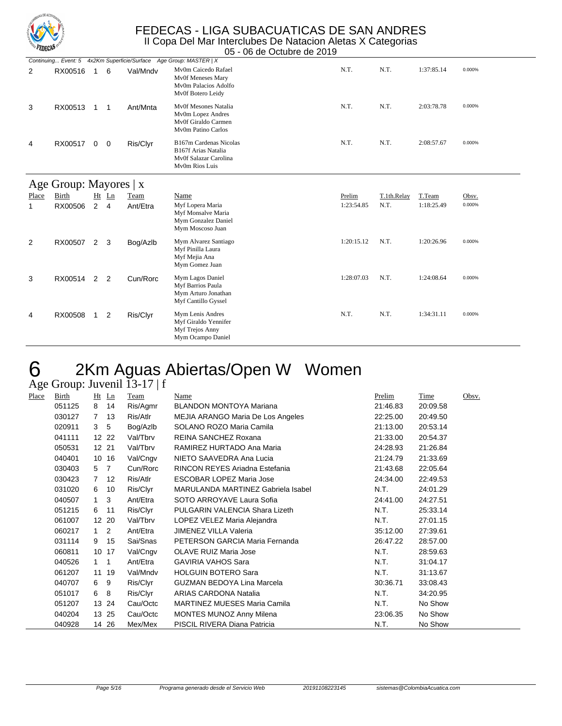

05 - 06 de Octubre de 2019

|       | Continuing Event: 5 4x2Km Superficie/Surface Age Group: MASTER   X |                |    |          |                                                                                          |            |             |            |        |  |  |  |
|-------|--------------------------------------------------------------------|----------------|----|----------|------------------------------------------------------------------------------------------|------------|-------------|------------|--------|--|--|--|
| 2     | RX00516                                                            | 1              | 6  | Val/Mndv | My0m Caicedo Rafael<br>Mv0f Meneses Mary<br>Mv0m Palacios Adolfo<br>Mv0f Botero Leidy    | N.T.       | N.T.        | 1:37:85.14 | 0.000% |  |  |  |
| 3     | RX00513                                                            | 1              | 1  | Ant/Mnta | Mv0f Mesones Natalia<br>Mv0m Lopez Andres<br>Mv0f Giraldo Carmen<br>My0m Patino Carlos   | N.T.       | N.T.        | 2:03:78.78 | 0.000% |  |  |  |
| 4     | RX00517                                                            | $\mathbf 0$    | 0  | Ris/Clyr | B167m Cardenas Nicolas<br>B167f Arias Natalia<br>Mv0f Salazar Carolina<br>My0m Rios Luis | N.T.       | N.T.        | 2:08:57.67 | 0.000% |  |  |  |
|       | Age Group: Mayores $ x $                                           |                |    |          |                                                                                          |            |             |            |        |  |  |  |
| Place | Birth                                                              | Ht             | Ln | Team     | Name                                                                                     | Prelim     | T.1th.Relay | T.Team     | Obsv.  |  |  |  |
| 1     | RX00506                                                            | $\overline{2}$ | 4  | Ant/Etra | Myf Lopera Maria<br>Myf Monsalve Maria<br>Mym Gonzalez Daniel<br>Mym Moscoso Juan        | 1:23:54.85 | N.T.        | 1:18:25.49 | 0.000% |  |  |  |
| 2     | RX00507                                                            | $\overline{2}$ | 3  | Bog/Azlb | Mym Alvarez Santiago<br>Myf Pinilla Laura<br>Myf Mejia Ana<br>Mym Gomez Juan             | 1:20:15.12 | N.T.        | 1:20:26.96 | 0.000% |  |  |  |
| 3     | RX00514                                                            | 2              | 2  | Cun/Rorc | Mym Lagos Daniel<br>Myf Barrios Paula<br>Mym Arturo Jonathan<br>Myf Cantillo Gyssel      | 1:28:07.03 | N.T.        | 1:24:08.64 | 0.000% |  |  |  |
| 4     | RX00508                                                            | 1              | 2  | Ris/Clyr | Mym Lenis Andres<br>Myf Giraldo Yennifer<br>Myf Trejos Anny<br>Mym Ocampo Daniel         | N.T.       | N.T.        | 1:34:31.11 | 0.000% |  |  |  |

# 6 2Km Aguas Abiertas/Open W Women

### Age Group: Juvenil 13-17 | f

| Place | Birth  | Ht Ln       |                | Team     | Name                               | Prelim   | Time     | Obsv. |
|-------|--------|-------------|----------------|----------|------------------------------------|----------|----------|-------|
|       | 051125 | 8           | 14             | Ris/Agmr | <b>BLANDON MONTOYA Mariana</b>     | 21:46.83 | 20:09.58 |       |
|       | 030127 | 7           | 13             | Ris/Atlr | MEJIA ARANGO Maria De Los Angeles  | 22:25.00 | 20:49.50 |       |
|       | 020911 | 3           | 5              | Bog/Azlb | SOLANO ROZO Maria Camila           | 21:13.00 | 20:53.14 |       |
|       | 041111 | 12 22       |                | Val/Tbrv | REINA SANCHEZ Roxana               | 21:33.00 | 20:54.37 |       |
|       | 050531 | 12 21       |                | Val/Tbrv | RAMIREZ HURTADO Ana Maria          | 24:28.93 | 21:26.84 |       |
|       | 040401 | 10 16       |                | Val/Cngv | NIETO SAAVEDRA Ana Lucia           | 21:24.79 | 21:33.69 |       |
|       | 030403 | 5           | $\overline{7}$ | Cun/Rorc | RINCON REYES Ariadna Estefania     | 21:43.68 | 22:05.64 |       |
|       | 030423 | $7^{\circ}$ | 12             | Ris/Atlr | <b>ESCOBAR LOPEZ Maria Jose</b>    | 24:34.00 | 22:49.53 |       |
|       | 031020 | 6           | 10             | Ris/Clyr | MARULANDA MARTINEZ Gabriela Isabel | N.T.     | 24:01.29 |       |
|       | 040507 | 1           | 3              | Ant/Etra | SOTO ARROYAVE Laura Sofia          | 24:41.00 | 24:27.51 |       |
|       | 051215 | 6           | 11             | Ris/Clyr | PULGARIN VALENCIA Shara Lizeth     | N.T.     | 25:33.14 |       |
|       | 061007 | 12 20       |                | Val/Tbrv | LOPEZ VELEZ Maria Alejandra        | N.T.     | 27:01.15 |       |
|       | 060217 | 1           | 2              | Ant/Etra | <b>JIMENEZ VILLA Valeria</b>       | 35:12.00 | 27:39.61 |       |
|       | 031114 | 9           | 15             | Sai/Snas | PETERSON GARCIA Maria Fernanda     | 26:47.22 | 28:57.00 |       |
|       | 060811 | 10 17       |                | Val/Cngv | <b>OLAVE RUIZ Maria Jose</b>       | N.T.     | 28:59.63 |       |
|       | 040526 | $1 \quad 1$ |                | Ant/Etra | <b>GAVIRIA VAHOS Sara</b>          | N.T.     | 31:04.17 |       |
|       | 061207 | 11 19       |                | Val/Mndv | <b>HOLGUIN BOTERO Sara</b>         | N.T.     | 31:13.67 |       |
|       | 040707 | 6           | 9              | Ris/Clyr | GUZMAN BEDOYA Lina Marcela         | 30:36.71 | 33:08.43 |       |
|       | 051017 | 6           | 8              | Ris/Clyr | <b>ARIAS CARDONA Natalia</b>       | N.T.     | 34:20.95 |       |
|       | 051207 |             | 13 24          | Cau/Octc | MARTINEZ MUESES Maria Camila       | N.T.     | No Show  |       |
|       | 040204 |             | 13 25          | Cau/Octc | <b>MONTES MUNOZ Anny Milena</b>    | 23:06.35 | No Show  |       |
|       | 040928 |             | 14 26          | Mex/Mex  | PISCIL RIVERA Diana Patricia       | N.T.     | No Show  |       |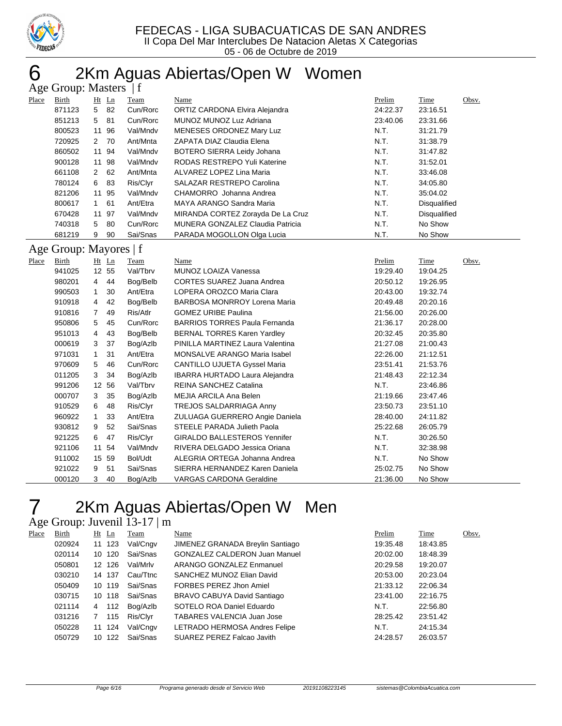

# 2Km Aguas Abiertas/Open W Women

|       | Age Group: Masters   f                                                         |              |         |          |                                   |          |                     |       |  |  |  |
|-------|--------------------------------------------------------------------------------|--------------|---------|----------|-----------------------------------|----------|---------------------|-------|--|--|--|
| Place | Birth                                                                          |              | $Ht$ Ln | Team     | Name                              | Prelim   | Time                | Obsv. |  |  |  |
|       | 871123                                                                         | 5            | 82      | Cun/Rorc | ORTIZ CARDONA Elvira Alejandra    | 24:22.37 | 23:16.51            |       |  |  |  |
|       | 851213                                                                         | 5            | -81     | Cun/Rorc | MUNOZ MUNOZ Luz Adriana           | 23:40.06 | 23:31.66            |       |  |  |  |
|       | 800523                                                                         |              | 11 96   | Val/Mndv | MENESES ORDONEZ Mary Luz          | N.T.     | 31:21.79            |       |  |  |  |
|       | 720925                                                                         | 2            | - 70    | Ant/Mnta | ZAPATA DIAZ Claudia Elena         | N.T.     | 31:38.79            |       |  |  |  |
|       | 860502                                                                         |              | 11 94   | Val/Mndv | BOTERO SIERRA Leidy Johana        | N.T.     | 31:47.82            |       |  |  |  |
|       | 900128                                                                         |              | 11 98   | Val/Mndv | RODAS RESTREPO Yuli Katerine      | N.T.     | 31:52.01            |       |  |  |  |
|       | 661108                                                                         | 2            | 62      | Ant/Mnta | ALVAREZ LOPEZ Lina Maria          | N.T.     | 33:46.08            |       |  |  |  |
|       | 780124                                                                         | 6            | 83      | Ris/Clyr | SALAZAR RESTREPO Carolina         | N.T.     | 34:05.80            |       |  |  |  |
|       | 821206                                                                         |              | 11 95   | Val/Mndv | CHAMORRO Johanna Andrea           | N.T.     | 35:04.02            |       |  |  |  |
|       | 800617                                                                         | $\mathbf{1}$ | 61      | Ant/Etra | MAYA ARANGO Sandra Maria          | N.T.     | Disqualified        |       |  |  |  |
|       | 670428                                                                         |              | 11 97   | Val/Mndv | MIRANDA CORTEZ Zorayda De La Cruz | N.T.     | <b>Disqualified</b> |       |  |  |  |
|       | 740318                                                                         | 5            | -80     | Cun/Rorc | MUNERA GONZALEZ Claudia Patricia  | N.T.     | No Show             |       |  |  |  |
|       | Sai/Snas<br>PARADA MOGOLLON Olga Lucia<br>N.T.<br>No Show<br>681219<br>90<br>9 |              |         |          |                                   |          |                     |       |  |  |  |
|       | Age Group: Mayores   f                                                         |              |         |          |                                   |          |                     |       |  |  |  |

| Place | Birth  |                | $Ht$ Ln | Team     | Name                                  | Prelim   | Time     | Obsv. |
|-------|--------|----------------|---------|----------|---------------------------------------|----------|----------|-------|
|       | 941025 |                | 12 55   | Val/Tbrv | MUNOZ LOAIZA Vanessa                  | 19:29.40 | 19:04.25 |       |
|       | 980201 | 4              | 44      | Bog/Belb | CORTES SUAREZ Juana Andrea            | 20:50.12 | 19:26.95 |       |
|       | 990503 | $\mathbf{1}$   | 30      | Ant/Etra | LOPERA OROZCO Maria Clara             | 20:43.00 | 19:32.74 |       |
|       | 910918 | 4              | 42      | Bog/Belb | <b>BARBOSA MONRROY Lorena Maria</b>   | 20:49.48 | 20:20.16 |       |
|       | 910816 | $\overline{7}$ | 49      | Ris/Atlr | <b>GOMEZ URIBE Paulina</b>            | 21:56.00 | 20:26.00 |       |
|       | 950806 | 5              | 45      | Cun/Rorc | <b>BARRIOS TORRES Paula Fernanda</b>  | 21:36.17 | 20:28.00 |       |
|       | 951013 | 4              | 43      | Bog/Belb | <b>BERNAL TORRES Karen Yardley</b>    | 20:32.45 | 20:35.80 |       |
|       | 000619 | 3              | 37      | Bog/Azlb | PINILLA MARTINEZ Laura Valentina      | 21:27.08 | 21:00.43 |       |
|       | 971031 | 1              | 31      | Ant/Etra | <b>MONSALVE ARANGO Maria Isabel</b>   | 22:26.00 | 21:12.51 |       |
|       | 970609 | 5              | 46      | Cun/Rorc | <b>CANTILLO UJUETA Gyssel Maria</b>   | 23:51.41 | 21:53.76 |       |
|       | 011205 | 3              | 34      | Bog/Azlb | <b>IBARRA HURTADO Laura Alejandra</b> | 21:48.43 | 22:12.34 |       |
|       | 991206 |                | 12 56   | Val/Tbrv | REINA SANCHEZ Catalina                | N.T.     | 23:46.86 |       |
|       | 000707 | 3              | 35      | Bog/Azlb | MEJIA ARCILA Ana Belen                | 21:19.66 | 23:47.46 |       |
|       | 910529 | 6              | 48      | Ris/Clyr | TREJOS SALDARRIAGA Anny               | 23:50.73 | 23:51.10 |       |
|       | 960922 | 1              | 33      | Ant/Etra | ZULUAGA GUERRERO Angie Daniela        | 28:40.00 | 24:11.82 |       |
|       | 930812 | 9              | 52      | Sai/Snas | STEELE PARADA Julieth Paola           | 25:22.68 | 26:05.79 |       |
|       | 921225 | 6              | 47      | Ris/Clyr | <b>GIRALDO BALLESTEROS Yennifer</b>   | N.T.     | 30:26.50 |       |
|       | 921106 |                | 11 54   | Val/Mndv | RIVERA DELGADO Jessica Oriana         | N.T.     | 32:38.98 |       |
|       | 911002 |                | 15 59   | Bol/Udt  | ALEGRIA ORTEGA Johanna Andrea         | N.T.     | No Show  |       |
|       | 921022 | 9              | 51      | Sai/Snas | SIERRA HERNANDEZ Karen Daniela        | 25:02.75 | No Show  |       |
|       | 000120 | 3              | 40      | Bog/Azlb | <b>VARGAS CARDONA Geraldine</b>       | 21:36.00 | No Show  |       |
|       |        |                |         |          |                                       |          |          |       |

# 2Km Aguas Abiertas/Open W Men

### Age Group: Juvenil 13-17 | m

| Birth  |    |     | Team                                                                | Name                                 | Prelim   | Time     | Obsv. |
|--------|----|-----|---------------------------------------------------------------------|--------------------------------------|----------|----------|-------|
| 020924 |    |     | Val/Cngv                                                            | JIMENEZ GRANADA Breylin Santiago     | 19:35.48 | 18:43.85 |       |
| 020114 |    |     | Sai/Snas                                                            | <b>GONZALEZ CALDERON Juan Manuel</b> | 20:02.00 | 18:48.39 |       |
| 050801 |    |     | Val/Mrlv                                                            | ARANGO GONZALEZ Enmanuel             | 20:29.58 | 19:20.07 |       |
| 030210 |    |     | Cau/Ttnc                                                            | SANCHEZ MUNOZ Elian David            | 20:53.00 | 20:23.04 |       |
| 050409 |    |     | Sai/Snas                                                            | FORBES PEREZ Jhon Amiel              | 21:33.12 | 22:06.34 |       |
| 030715 |    |     | Sai/Snas                                                            | BRAVO CABUYA David Santiago          | 23:41.00 | 22:16.75 |       |
| 021114 | 4  | 112 | Bog/Azlb                                                            | SOTELO ROA Daniel Eduardo            | N.T.     | 22:56.80 |       |
| 031216 |    | 115 | Ris/Clyr                                                            | TABARES VALENCIA Juan Jose           | 28:25.42 | 23:51.42 |       |
| 050228 | 11 | 124 | Val/Cngv                                                            | LETRADO HERMOSA Andres Felipe        | N.T.     | 24:15.34 |       |
| 050729 | 10 | 122 | Sai/Snas                                                            | SUAREZ PEREZ Falcao Javith           | 24:28.57 | 26:03.57 |       |
|        |    |     | $Ht$ Ln<br>11 123<br>10 120<br>12 126<br>14 137<br>10 119<br>10 118 |                                      |          |          |       |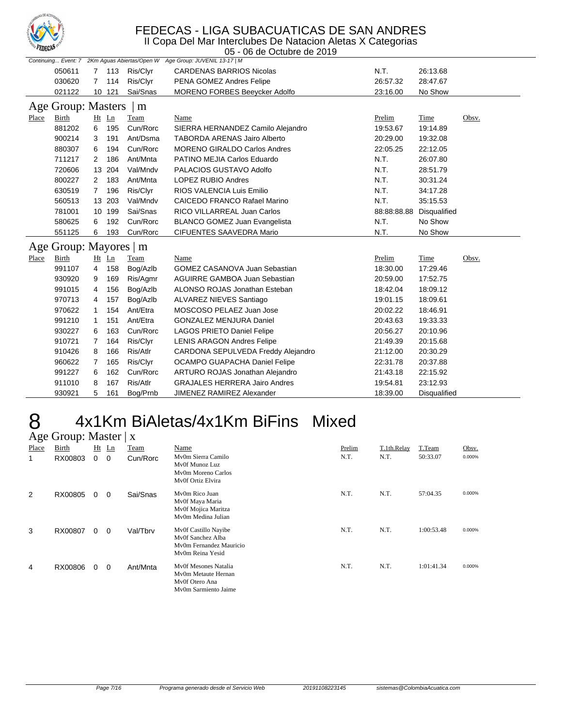

II Copa Del Mar Interclubes De Natacion Aletas X Categorias 05 - 06 de Octubre de 2019

|                         | Continuing Event: 7 2Km Aguas Abiertas/Open W Age Group: JUVENIL 13-17   M |                |         |          |                                      |             |              |       |  |  |
|-------------------------|----------------------------------------------------------------------------|----------------|---------|----------|--------------------------------------|-------------|--------------|-------|--|--|
|                         | 050611                                                                     |                | 7 113   | Ris/Clyr | <b>CARDENAS BARRIOS Nicolas</b>      | N.T.        | 26:13.68     |       |  |  |
|                         | 030620                                                                     |                | 7 114   | Ris/Clyr | PENA GOMEZ Andres Felipe             | 26:57.32    | 28:47.67     |       |  |  |
|                         | 021122                                                                     |                | 10 121  | Sai/Snas | <b>MORENO FORBES Beeycker Adolfo</b> | 23:16.00    | No Show      |       |  |  |
| Age Group: Masters<br>m |                                                                            |                |         |          |                                      |             |              |       |  |  |
| Place                   | Birth                                                                      |                | $Ht$ Ln | Team     | Name                                 | Prelim      | Time         | Obsv. |  |  |
|                         | 881202                                                                     | 6              | 195     | Cun/Rorc | SIERRA HERNANDEZ Camilo Alejandro    | 19:53.67    | 19:14.89     |       |  |  |
|                         | 900214                                                                     | 3              | 191     | Ant/Dsma | <b>TABORDA ARENAS Jairo Alberto</b>  | 20:29.00    | 19:32.08     |       |  |  |
|                         | 880307                                                                     | 6              | 194     | Cun/Rorc | <b>MORENO GIRALDO Carlos Andres</b>  | 22:05.25    | 22:12.05     |       |  |  |
|                         | 711217                                                                     | 2              | 186     | Ant/Mnta | PATINO MEJIA Carlos Eduardo          | N.T.        | 26:07.80     |       |  |  |
|                         | 720606                                                                     |                | 13 204  | Val/Mndv | PALACIOS GUSTAVO Adolfo              | N.T.        | 28:51.79     |       |  |  |
|                         | 800227                                                                     | $\mathbf{2}$   | 183     | Ant/Mnta | LOPEZ RUBIO Andres                   | N.T.        | 30:31.24     |       |  |  |
|                         | 630519                                                                     | $7\phantom{0}$ | 196     | Ris/Clyr | RIOS VALENCIA Luis Emilio            | N.T.        | 34:17.28     |       |  |  |
|                         | 560513                                                                     |                | 13 203  | Val/Mndv | CAICEDO FRANCO Rafael Marino         | N.T.        | 35:15.53     |       |  |  |
|                         | 781001                                                                     |                | 10 199  | Sai/Snas | RICO VILLARREAL Juan Carlos          | 88:88:88.88 | Disqualified |       |  |  |
|                         | 580625                                                                     | 6              | 192     | Cun/Rorc | <b>BLANCO GOMEZ Juan Evangelista</b> | N.T.        | No Show      |       |  |  |
|                         | 551125                                                                     | 6              | 193     | Cun/Rorc | CIFUENTES SAAVEDRA Mario             | N.T.        | No Show      |       |  |  |
|                         | Age Group: Mayores   m                                                     |                |         |          |                                      |             |              |       |  |  |
| Place                   | Birth                                                                      |                | $Ht$ Ln | Team     | Name                                 | Prelim      | <b>Time</b>  | Obsv. |  |  |
|                         | 991107                                                                     | 4              | 158     | Bog/Azlb | <b>GOMEZ CASANOVA Juan Sebastian</b> | 18:30.00    | 17:29.46     |       |  |  |
|                         | 930920                                                                     | 9              | 169     | Ris/Agmr | AGUIRRE GAMBOA Juan Sebastian        | 20:59.00    | 17:52.75     |       |  |  |
|                         | 991015                                                                     | 4              | 156     | Bog/Azlb | ALONSO ROJAS Jonathan Esteban        | 18:42.04    | 18:09.12     |       |  |  |
|                         | 970713                                                                     | 4              | 157     | Bog/Azlb | ALVAREZ NIEVES Santiago              | 19:01.15    | 18:09.61     |       |  |  |
|                         | 970622                                                                     | 1              | 154     | Ant/Etra | MOSCOSO PELAEZ Juan Jose             | 20:02.22    | 18:46.91     |       |  |  |
|                         | 991210                                                                     | 1              | 151     | Ant/Etra | <b>GONZALEZ MENJURA Daniel</b>       | 20:43.63    | 19:33.33     |       |  |  |
|                         | 930227                                                                     | 6              | 163     | Cun/Rorc | <b>LAGOS PRIETO Daniel Felipe</b>    | 20:56.27    | 20:10.96     |       |  |  |
|                         | 910721                                                                     | 7              | 164     | Ris/Clyr | <b>LENIS ARAGON Andres Felipe</b>    | 21:49.39    | 20:15.68     |       |  |  |
|                         | 910426                                                                     | 8              | 166     | Ris/Atlr | CARDONA SEPULVEDA Freddy Alejandro   | 21:12.00    | 20:30.29     |       |  |  |
|                         | 960622                                                                     | 7              | 165     | Ris/Clyr | OCAMPO GUAPACHA Daniel Felipe        | 22:31.78    | 20:37.88     |       |  |  |
|                         | 991227                                                                     | 6              | 162     | Cun/Rorc | ARTURO ROJAS Jonathan Alejandro      | 21:43.18    | 22:15.92     |       |  |  |
|                         | 911010                                                                     | 8              | 167     | Ris/Atlr | <b>GRAJALES HERRERA Jairo Andres</b> | 19:54.81    | 23:12.93     |       |  |  |
|                         | 930921                                                                     | 5              | 161     | Bog/Prnb | JIMENEZ RAMIREZ Alexander            | 18:39.00    | Disqualified |       |  |  |

## 8 4x1Km BiAletas/4x1Km BiFins Mixed  $8$  4x1 Km E<br>Age Group: Master | x

| - -0  | -- r -  |   |         |          |                                                                                          |        |             |            |        |
|-------|---------|---|---------|----------|------------------------------------------------------------------------------------------|--------|-------------|------------|--------|
| Place | Birth   |   | $Ht$ Ln | Team     | Name                                                                                     | Prelim | T.1th.Relay | T.Team     | Obsv.  |
| 1     | RX00803 | 0 | 0       | Cun/Rorc | My0m Sierra Camilo<br>My0f Munoz Luz<br>My0m Moreno Carlos<br>My0f Ortiz Elvira          | N.T.   | N.T.        | 50:33.07   | 0.000% |
| 2     | RX00805 | 0 | 0       | Sai/Snas | My0m Rico Juan<br>Mv0f Maya Maria<br>Mv0f Mojica Maritza<br>My0m Medina Julian           | N.T.   | N.T.        | 57:04.35   | 0.000% |
| 3     | RX00807 | 0 | 0       | Val/Tbrv | Mv0f Castillo Nayibe<br>Mv0f Sanchez Alba<br>My0m Fernandez Mauricio<br>My0m Reina Yesid | N.T.   | N.T.        | 1:00:53.48 | 0.000% |
| 4     | RX00806 | 0 | 0       | Ant/Mnta | Mv0f Mesones Natalia<br>My0m Metaute Hernan<br>Mv0f Otero Ana<br>My0m Sarmiento Jaime    | N.T.   | N.T.        | 1:01:41.34 | 0.000% |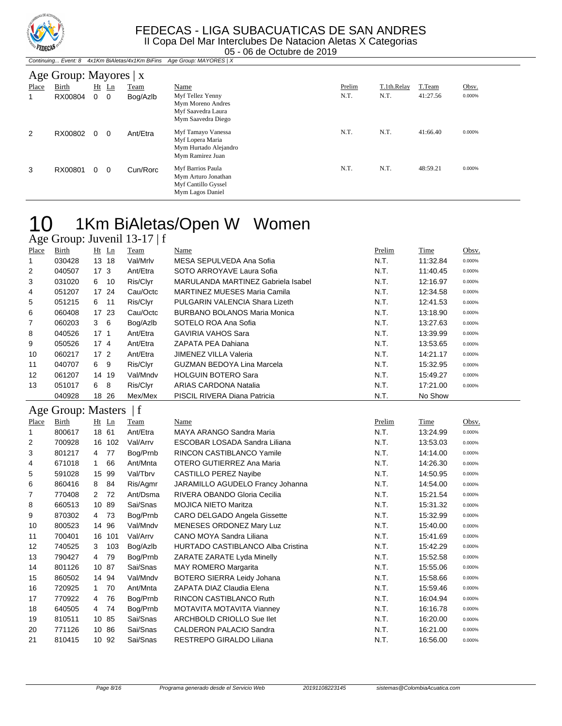

#### Continuing... Event: 8 4x1Km BiAletas/4x1Km BiFins Age Group: MAYORES | X

|              | Age Group: Mayores   x |            |          |             |                                                                                     |        |             |          |        |  |  |
|--------------|------------------------|------------|----------|-------------|-------------------------------------------------------------------------------------|--------|-------------|----------|--------|--|--|
| <b>Place</b> | Birth                  | $Ht$ Ln    |          | <b>Team</b> | Name                                                                                | Prelim | T.1th.Relay | T.Team   | Obsv.  |  |  |
|              | RX00804                | $0\quad 0$ |          | Bog/Azlb    | Myf Tellez Yenny<br>Mym Moreno Andres<br>Myf Saavedra Laura<br>Mym Saavedra Diego   | N.T.   | N.T.        | 41:27.56 | 0.000% |  |  |
| 2            | RX00802                | $\Omega$   | $\Omega$ | Ant/Etra    | Myf Tamayo Vanessa<br>Myf Lopera Maria<br>Mym Hurtado Alejandro<br>Mym Ramirez Juan | N.T.   | N.T.        | 41:66.40 | 0.000% |  |  |
| 3            | RX00801                | $\Omega$   | $\Omega$ | Cun/Rorc    | Myf Barrios Paula<br>Mym Arturo Jonathan<br>Myf Cantillo Gyssel<br>Mym Lagos Daniel | N.T.   | N.T.        | 48:59.21 | 0.000% |  |  |

## 10 1Km BiAletas/Open W Women Age Group: Juvenil 13-17 | f

| Place          | <b>Birth</b>       |                 | Ht Ln  | <b>Team</b> | Name                                      | Prelim | Time     | Obsv.  |
|----------------|--------------------|-----------------|--------|-------------|-------------------------------------------|--------|----------|--------|
| 1              | 030428             |                 | 13 18  | Val/Mrlv    | MESA SEPULVEDA Ana Sofia                  | N.T.   | 11:32.84 | 0.000% |
| 2              | 040507             | 17 <sub>3</sub> |        | Ant/Etra    | SOTO ARROYAVE Laura Sofia                 | N.T.   | 11:40.45 | 0.000% |
| 3              | 031020             | 6               | 10     | Ris/Clyr    | <b>MARULANDA MARTINEZ Gabriela Isabel</b> | N.T.   | 12:16.97 | 0.000% |
| 4              | 051207             |                 | 17 24  | Cau/Octc    | <b>MARTINEZ MUESES Maria Camila</b>       | N.T.   | 12:34.58 | 0.000% |
| 5              | 051215             | 6               | 11     | Ris/Clyr    | PULGARIN VALENCIA Shara Lizeth            | N.T.   | 12:41.53 | 0.000% |
| 6              | 060408             |                 | 17 23  | Cau/Octc    | <b>BURBANO BOLANOS Maria Monica</b>       | N.T.   | 13:18.90 | 0.000% |
| 7              | 060203             | 3               | 6      | Bog/Azlb    | SOTELO ROA Ana Sofia                      | N.T.   | 13:27.63 | 0.000% |
| 8              | 040526             | 17 <sub>1</sub> |        | Ant/Etra    | <b>GAVIRIA VAHOS Sara</b>                 | N.T.   | 13:39.99 | 0.000% |
| 9              | 050526             | 17 <sub>4</sub> |        | Ant/Etra    | ZAPATA PEA Dahiana                        | N.T.   | 13:53.65 | 0.000% |
| 10             | 060217             | 17 <sub>2</sub> |        | Ant/Etra    | JIMENEZ VILLA Valeria                     | N.T.   | 14:21.17 | 0.000% |
| 11             | 040707             | 6               | 9      | Ris/Clyr    | <b>GUZMAN BEDOYA Lina Marcela</b>         | N.T.   | 15:32.95 | 0.000% |
| 12             | 061207             |                 | 14 19  | Val/Mndv    | <b>HOLGUIN BOTERO Sara</b>                | N.T.   | 15:49.27 | 0.000% |
| 13             | 051017             | 6               | 8      | Ris/Clyr    | ARIAS CARDONA Natalia                     | N.T.   | 17:21.00 | 0.000% |
|                | 040928             |                 | 18 26  | Mex/Mex     | PISCIL RIVERA Diana Patricia              | N.T.   | No Show  |        |
|                | Age Group: Masters |                 |        | f           |                                           |        |          |        |
| Place          | <u>Birth</u>       |                 | Ht Ln  | <b>Team</b> | <b>Name</b>                               | Prelim | Time     | Obsv.  |
| 1              | 800617             |                 | 18 61  | Ant/Etra    | MAYA ARANGO Sandra Maria                  | N.T.   | 13:24.99 | 0.000% |
| $\overline{c}$ | 700928             |                 | 16 102 | Val/Arrv    | ESCOBAR LOSADA Sandra Liliana             | N.T.   | 13:53.03 | 0.000% |
| 3              | 801217             | $\overline{4}$  | 77     | Bog/Prnb    | RINCON CASTIBLANCO Yamile                 | N.T.   | 14:14.00 | 0.000% |
| 4              | 671018             | 1               | 66     | Ant/Mnta    | OTERO GUTIERREZ Ana Maria                 | N.T.   | 14:26.30 | 0.000% |
| 5              | 591028             |                 | 15 99  | Val/Tbrv    | <b>CASTILLO PEREZ Nayibe</b>              | N.T.   | 14:50.95 | 0.000% |
| 6              | 860416             | 8               | 84     | Ris/Agmr    | JARAMILLO AGUDELO Francy Johanna          | N.T.   | 14:54.00 | 0.000% |
| 7              | 770408             | $\mathbf{2}$    | 72     | Ant/Dsma    | RIVERA OBANDO Gloria Cecilia              | N.T.   | 15:21.54 | 0.000% |
| 8              | 660513             |                 | 10 89  | Sai/Snas    | <b>MOJICA NIETO Maritza</b>               | N.T.   | 15:31.32 | 0.000% |
| 9              | 870302             | 4               | 73     | Bog/Prnb    | CARO DELGADO Angela Gissette              | N.T.   | 15:32.99 | 0.000% |
| 10             | 800523             |                 | 14 96  | Val/Mndv    | MENESES ORDONEZ Mary Luz                  | N.T.   | 15:40.00 | 0.000% |
| 11             | 700401             |                 | 16 101 | Val/Arrv    | CANO MOYA Sandra Liliana                  | N.T.   | 15:41.69 | 0.000% |
| 12             | 740525             | 3               | 103    | Bog/Azlb    | HURTADO CASTIBLANCO Alba Cristina         | N.T.   | 15:42.29 | 0.000% |
| 13             | 790427             | 4               | 79     | Bog/Prnb    | ZARATE ZARATE Lyda Minelly                | N.T.   | 15:52.58 | 0.000% |
| 14             | 801126             |                 | 10 87  | Sai/Snas    | <b>MAY ROMERO Margarita</b>               | N.T.   | 15:55.06 | 0.000% |
| 15             | 860502             |                 | 14 94  | Val/Mndv    | BOTERO SIERRA Leidy Johana                | N.T.   | 15:58.66 | 0.000% |
| 16             | 720925             | $\mathbf{1}$    | 70     | Ant/Mnta    | ZAPATA DIAZ Claudia Elena                 | N.T.   | 15:59.46 | 0.000% |
| 17             | 770922             | 4               | 76     | Bog/Prnb    | <b>RINCON CASTIBLANCO Ruth</b>            | N.T.   | 16:04.94 | 0.000% |
| 18             | 640505             | 4               | 74     | Bog/Prnb    | MOTAVITA MOTAVITA Vianney                 | N.T.   | 16:16.78 | 0.000% |
| 19             | 810511             |                 | 10 85  | Sai/Snas    | ARCHBOLD CRIOLLO Sue llet                 | N.T.   | 16:20.00 | 0.000% |
| 20             | 771126             |                 | 10 86  | Sai/Snas    | CALDERON PALACIO Sandra                   | N.T.   | 16:21.00 | 0.000% |
| 21             | 810415             |                 | 10 92  | Sai/Snas    | RESTREPO GIRALDO Liliana                  | N.T.   | 16:56.00 | 0.000% |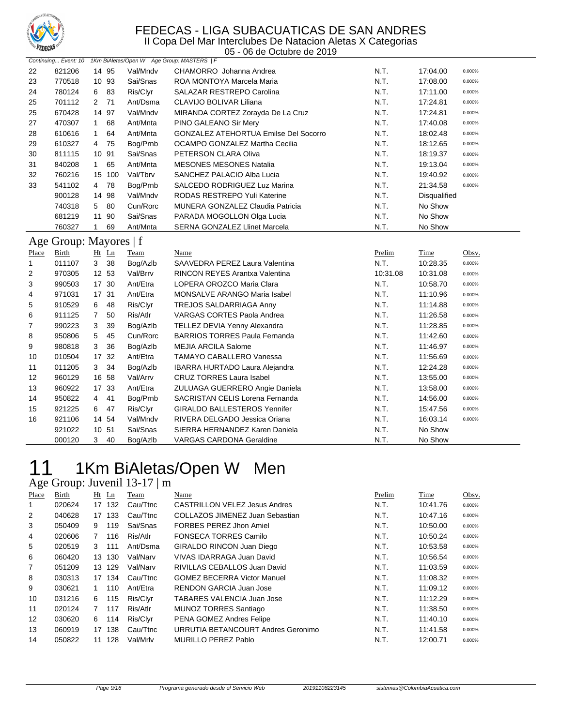

05 - 06 de Octubre de 2019

|                       |                        |                |        |                      | Continuing Event: 10 1Km BiAletas/Open W Age Group: MASTERS   F |          |              |        |
|-----------------------|------------------------|----------------|--------|----------------------|-----------------------------------------------------------------|----------|--------------|--------|
| 22                    | 821206                 | 14 95          |        | Val/Mndv             | CHAMORRO Johanna Andrea                                         | N.T.     | 17:04.00     | 0.000% |
| 23                    | 770518                 | 10 93          |        | Sai/Snas             | ROA MONTOYA Marcela Maria                                       | N.T.     | 17:08.00     | 0.000% |
| 24                    | 780124                 | 6              | 83     | Ris/Clyr             | SALAZAR RESTREPO Carolina                                       | N.T.     | 17:11.00     | 0.000% |
| 25                    | 701112                 | 2, 71          |        | Ant/Dsma             | CLAVIJO BOLIVAR Liliana                                         | N.T.     | 17:24.81     | 0.000% |
| 25                    | 670428                 | 14 97          |        | Val/Mndv             | MIRANDA CORTEZ Zorayda De La Cruz                               | N.T.     | 17:24.81     | 0.000% |
| 27                    | 470307                 | $\mathbf{1}$   | 68     | Ant/Mnta             | PINO GALEANO Sir Mery                                           | N.T.     | 17:40.08     | 0.000% |
| 28                    | 610616                 | $\mathbf{1}$   | 64     | Ant/Mnta             | <b>GONZALEZ ATEHORTUA Emilse Del Socorro</b>                    | N.T.     | 18:02.48     | 0.000% |
| 29                    | 610327                 | 4              | 75     | Bog/Prnb             | OCAMPO GONZALEZ Martha Cecilia                                  | N.T.     | 18:12.65     | 0.000% |
| 30                    | 811115                 | 10 91          |        | Sai/Snas             | PETERSON CLARA Oliva                                            | N.T.     | 18:19.37     | 0.000% |
| 31                    | 840208                 | 1              | 65     | Ant/Mnta             | <b>MESONES MESONES Natalia</b>                                  | N.T.     | 19:13.04     | 0.000% |
| 32                    | 760216                 |                | 15 100 | Val/Tbrv             | SANCHEZ PALACIO Alba Lucia                                      | N.T.     | 19:40.92     | 0.000% |
| 33                    | 541102                 | 4              | 78     | Bog/Prnb             | SALCEDO RODRIGUEZ Luz Marina                                    | N.T.     | 21:34.58     | 0.000% |
|                       | 900128                 | 14 98          |        | Val/Mndv             | RODAS RESTREPO Yuli Katerine                                    | N.T.     | Disqualified |        |
|                       | 740318                 | 5              | 80     | Cun/Rorc             | MUNERA GONZALEZ Claudia Patricia                                | N.T.     | No Show      |        |
|                       | 681219                 | 11 90          |        | Sai/Snas             | PARADA MOGOLLON Olga Lucia                                      | N.T.     | No Show      |        |
|                       | 760327                 | $\mathbf{1}$   | 69     | Ant/Mnta             | SERNA GONZALEZ Llinet Marcela                                   | N.T.     | No Show      |        |
|                       | Age Group: Mayores   f |                |        |                      |                                                                 |          |              |        |
|                       | Birth                  |                | Ht Ln  |                      | Name                                                            | Prelim   | Time         | Obsv.  |
| Place<br>$\mathbf{1}$ | 011107                 | 3 38           |        | Team<br>Bog/Azlb     | SAAVEDRA PEREZ Laura Valentina                                  | N.T.     | 10:28.35     | 0.000% |
| 2                     | 970305                 |                | 12 53  | Val/Brrv             | RINCON REYES Arantxa Valentina                                  | 10:31.08 | 10:31.08     | 0.000% |
| 3                     | 990503                 | 17 30          |        | Ant/Etra             | LOPERA OROZCO Maria Clara                                       | N.T.     | 10:58.70     | 0.000% |
| 4                     | 971031                 | 17 31          |        | Ant/Etra             | MONSALVE ARANGO Maria Isabel                                    | N.T.     | 11:10.96     | 0.000% |
| 5                     | 910529                 | 6              | 48     | Ris/Clyr             | TREJOS SALDARRIAGA Anny                                         | N.T.     | 11:14.88     | 0.000% |
| 6                     | 911125                 | $\overline{7}$ | 50     | Ris/Atlr             | <b>VARGAS CORTES Paola Andrea</b>                               | N.T.     | 11:26.58     | 0.000% |
| 7                     | 990223                 | 3              | 39     | Bog/Azlb             | <b>TELLEZ DEVIA Yenny Alexandra</b>                             | N.T.     | 11:28.85     | 0.000% |
| 8                     | 950806                 | 5              | 45     | Cun/Rorc             | <b>BARRIOS TORRES Paula Fernanda</b>                            | N.T.     | 11:42.60     | 0.000% |
| 9                     | 980818                 | 3              | 36     | Bog/Azlb             | <b>MEJIA ARCILA Salome</b>                                      | N.T.     | 11:46.97     | 0.000% |
| 10                    | 010504                 | 17 32          |        | Ant/Etra             | TAMAYO CABALLERO Vanessa                                        | N.T.     | 11:56.69     | 0.000% |
| 11                    | 011205                 | 3              | 34     | Bog/Azlb             | <b>IBARRA HURTADO Laura Alejandra</b>                           | N.T.     | 12:24.28     | 0.000% |
| 12                    | 960129                 | 16 58          |        | Val/Arrv             | <b>CRUZ TORRES Laura Isabel</b>                                 | N.T.     | 13:55.00     | 0.000% |
| 13                    | 960922                 | 17 33          |        | Ant/Etra             | ZULUAGA GUERRERO Angie Daniela                                  | N.T.     | 13:58.00     | 0.000% |
| 14                    | 950822                 | $\overline{4}$ | 41     |                      | SACRISTAN CELIS Lorena Fernanda                                 | N.T.     | 14:56.00     | 0.000% |
| 15                    | 921225                 | 6              | 47     | Bog/Prnb<br>Ris/Clyr | <b>GIRALDO BALLESTEROS Yennifer</b>                             | N.T.     | 15:47.56     | 0.000% |
| 16                    | 921106                 | 14 54          |        | Val/Mndv             | RIVERA DELGADO Jessica Oriana                                   | N.T.     | 16:03.14     | 0.000% |
|                       | 921022                 | 10 51          |        | Sai/Snas             | SIERRA HERNANDEZ Karen Daniela                                  | N.T.     | No Show      |        |
|                       |                        | 3              | 40     |                      |                                                                 |          |              |        |
|                       | 000120                 |                |        | Bog/Azlb             | <b>VARGAS CARDONA Geraldine</b>                                 | N.T.     | No Show      |        |

## 11 1Km BiAletas/Open W Men Age Group: Juvenil 13-17 | m

| ີ     |        |           |             |                                      |        |          |        |
|-------|--------|-----------|-------------|--------------------------------------|--------|----------|--------|
| Place | Birth  | $Ht$ Ln   | <b>Team</b> | Name                                 | Prelim | Time     | Obsv.  |
| 1     | 020624 | 132<br>17 | Cau/Ttnc    | <b>CASTRILLON VELEZ Jesus Andres</b> | N.T.   | 10:41.76 | 0.000% |
| 2     | 040628 | 133<br>17 | Cau/Ttnc    | COLLAZOS JIMENEZ Juan Sebastian      | N.T.   | 10:47.16 | 0.000% |
| 3     | 050409 | 119<br>9  | Sai/Snas    | FORBES PEREZ Jhon Amiel              | N.T.   | 10:50.00 | 0.000% |
| 4     | 020606 | 116<br>7  | Ris/Atlr    | <b>FONSECA TORRES Camilo</b>         | N.T.   | 10:50.24 | 0.000% |
| 5     | 020519 | 3<br>111  | Ant/Dsma    | GIRALDO RINCON Juan Diego            | N.T.   | 10:53.58 | 0.000% |
| 6     | 060420 | 130<br>13 | Val/Narv    | VIVAS IDARRAGA Juan David            | N.T.   | 10:56.54 | 0.000% |
| 7     | 051209 | 129<br>13 | Val/Narv    | RIVILLAS CEBALLOS Juan David         | N.T.   | 11:03.59 | 0.000% |
| 8     | 030313 | 134<br>17 | Cau/Ttnc    | <b>GOMEZ BECERRA Victor Manuel</b>   | N.T.   | 11:08.32 | 0.000% |
| 9     | 030621 | 110       | Ant/Etra    | RENDON GARCIA Juan Jose              | N.T.   | 11:09.12 | 0.000% |
| 10    | 031216 | 6<br>115  | Ris/Clyr    | <b>TABARES VALENCIA Juan Jose</b>    | N.T.   | 11:12.29 | 0.000% |
| 11    | 020124 | 7<br>117  | Ris/Atlr    | <b>MUNOZ TORRES Santiago</b>         | N.T.   | 11:38.50 | 0.000% |
| 12    | 030620 | 6<br>114  | Ris/Clyr    | PENA GOMEZ Andres Felipe             | N.T.   | 11:40.10 | 0.000% |
| 13    | 060919 | 138<br>17 | Cau/Ttnc    | URRUTIA BETANCOURT Andres Geronimo   | N.T.   | 11:41.58 | 0.000% |
| 14    | 050822 | 128<br>11 | Val/Mrlv    | <b>MURILLO PEREZ Pablo</b>           | N.T.   | 12:00.71 | 0.000% |
|       |        |           |             |                                      |        |          |        |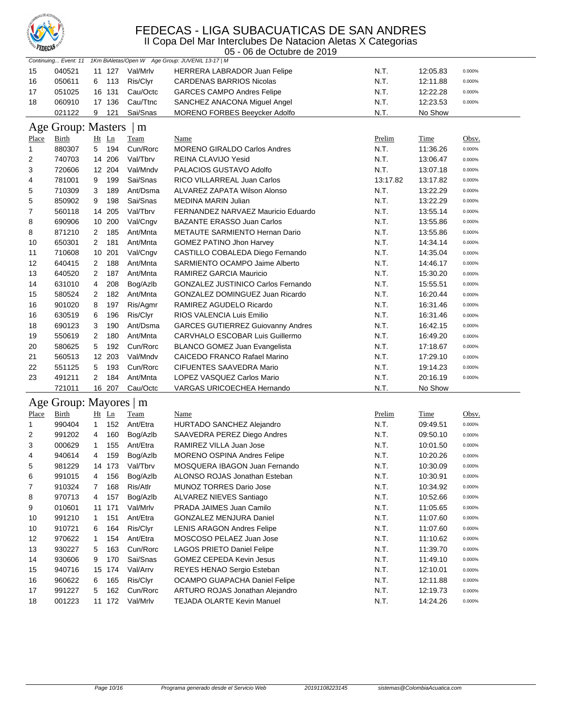

II Copa Del Mar Interclubes De Natacion Aletas X Categorias

| <b>A CULCIA</b><br>05 - 06 de Octubre de 2019 |                        |                              |                         |                                                  |                       |                         |                     |
|-----------------------------------------------|------------------------|------------------------------|-------------------------|--------------------------------------------------|-----------------------|-------------------------|---------------------|
|                                               | Continuing Event: 11   |                              |                         | 1Km BiAletas/Open W Age Group: JUVENIL 13-17   M |                       |                         |                     |
| 15                                            | 040521                 | 11 127                       | Val/Mrlv                | HERRERA LABRADOR Juan Felipe                     | N.T.                  | 12:05.83                | 0.000%              |
| 16                                            | 050611                 | 113<br>6                     | Ris/Clyr                | <b>CARDENAS BARRIOS Nicolas</b>                  | N.T.                  | 12:11.88                | 0.000%              |
| 17                                            | 051025                 | 16 131                       | Cau/Octc                | <b>GARCES CAMPO Andres Felipe</b>                | N.T.                  | 12:22.28                | 0.000%              |
| 18                                            | 060910                 | 17 136                       | Cau/Ttnc                | SANCHEZ ANACONA Miguel Angel                     | N.T.                  | 12:23.53                | 0.000%              |
|                                               | 021122                 | 9<br>121                     | Sai/Snas                | <b>MORENO FORBES Beeycker Adolfo</b>             | N.T.                  | No Show                 |                     |
| Age                                           | Group: Masters         |                              | m                       |                                                  |                       |                         |                     |
| <b>Place</b>                                  | <b>Birth</b>           | Ht Ln                        | <b>Team</b>             | <b>Name</b>                                      | <u>Prelim</u>         | <b>Time</b>             | Obsv.               |
| 1                                             | 880307                 | 194<br>5                     | Cun/Rorc                | <b>MORENO GIRALDO Carlos Andres</b>              | N.T.                  | 11:36.26                | 0.000%              |
| 2                                             | 740703                 | 14 206                       | Val/Tbrv                | REINA CLAVIJO Yesid                              | N.T.                  | 13:06.47                | 0.000%              |
| 3                                             | 720606                 | 12 204                       | Val/Mndv                | PALACIOS GUSTAVO Adolfo                          | N.T.                  | 13:07.18                | 0.000%              |
| 4                                             | 781001                 | 9<br>199                     | Sai/Snas                | RICO VILLARREAL Juan Carlos                      | 13:17.82              | 13:17.82                | 0.000%              |
| 5                                             | 710309                 | 189<br>3                     | Ant/Dsma                | ALVAREZ ZAPATA Wilson Alonso                     | N.T.                  | 13:22.29                | 0.000%              |
| 5                                             | 850902                 | 198<br>9                     | Sai/Snas                | <b>MEDINA MARIN Julian</b>                       | N.T.                  | 13:22.29                | 0.000%              |
| 7                                             | 560118                 | 14 205                       | Val/Tbrv                | FERNANDEZ NARVAEZ Mauricio Eduardo               | N.T.                  | 13:55.14                | 0.000%              |
| 8                                             | 690906                 | 10 200                       | Val/Cngv                | BAZANTE ERASSO Juan Carlos                       | N.T.                  | 13:55.86                | 0.000%              |
| 8                                             | 871210                 | 185<br>$\mathbf{2}$          | Ant/Mnta                | <b>METAUTE SARMIENTO Hernan Dario</b>            | N.T.                  | 13:55.86                | 0.000%              |
| 10                                            | 650301                 | 181<br>2                     | Ant/Mnta                | <b>GOMEZ PATINO Jhon Harvey</b>                  | N.T.                  | 14:34.14                | 0.000%              |
| 11                                            | 710608                 | 10 201                       | Val/Cngv                | CASTILLO COBALEDA Diego Fernando                 | N.T.                  | 14:35.04                | 0.000%              |
| 12                                            | 640415                 | 188<br>2                     | Ant/Mnta                | SARMIENTO OCAMPO Jaime Alberto                   | N.T.                  | 14:46.17                | 0.000%              |
| 13                                            | 640520                 | $\overline{c}$<br>187        | Ant/Mnta                | RAMIREZ GARCIA Mauricio                          | N.T.                  | 15:30.20                | 0.000%              |
| 14                                            | 631010                 | 4<br>208                     | Bog/Azlb                | <b>GONZALEZ JUSTINICO Carlos Fernando</b>        | N.T.                  | 15:55.51                | 0.000%              |
| 15                                            | 580524                 | 182<br>2                     | Ant/Mnta                | GONZALEZ DOMINGUEZ Juan Ricardo                  | N.T.                  | 16:20.44                | 0.000%              |
| 16                                            | 901020                 | 8<br>197                     | Ris/Agmr                | RAMIREZ AGUDELO Ricardo                          | N.T.                  | 16:31.46                | 0.000%              |
| 16                                            | 630519                 | 196<br>6                     | Ris/Clyr                | RIOS VALENCIA Luis Emilio                        | N.T.                  | 16:31.46                | 0.000%              |
| 18                                            | 690123                 | 3<br>190                     | Ant/Dsma                | <b>GARCES GUTIERREZ Guiovanny Andres</b>         | N.T.                  | 16:42.15                | 0.000%              |
| 19                                            | 550619                 | 180<br>2                     | Ant/Mnta                | CARVHALO ESCOBAR Luis Guillermo                  | N.T.                  | 16:49.20                | 0.000%              |
| 20                                            | 580625                 | 5<br>192                     | Cun/Rorc                | <b>BLANCO GOMEZ Juan Evangelista</b>             | N.T.                  | 17:18.67                | 0.000%              |
| 21                                            | 560513                 | 12 203                       | Val/Mndv                | CAICEDO FRANCO Rafael Marino                     | N.T.                  | 17:29.10                | 0.000%              |
| 22                                            | 551125                 | 193<br>5                     | Cun/Rorc                | <b>CIFUENTES SAAVEDRA Mario</b>                  | N.T.                  | 19:14.23                | 0.000%              |
| 23                                            | 491211                 | 184<br>2                     | Ant/Mnta                | LOPEZ VASQUEZ Carlos Mario                       | N.T.                  | 20:16.19                | 0.000%              |
|                                               | 721011                 | 16 207                       | Cau/Octc                | VARGAS URICOECHEA Hernando                       | N.T.                  | No Show                 |                     |
|                                               | Age Group: Mayores   m |                              |                         |                                                  |                       |                         |                     |
| Place                                         | Birth                  |                              |                         |                                                  |                       |                         |                     |
| 1                                             | 990404                 | Ht Ln<br>152<br>$\mathbf{1}$ | <b>Team</b><br>Ant/Etra | Name<br>HURTADO SANCHEZ Alejandro                | <u>Prelim</u><br>N.T. | <b>Time</b><br>09:49.51 | Obsv.<br>0.000%     |
| 2                                             | 991202                 | 160<br>4                     | Bog/Azlb                | SAAVEDRA PEREZ Diego Andres                      | N.T.                  | 09:50.10                | 0.000%              |
| 3                                             | 000629                 | 155<br>1                     | Ant/Etra                | RAMIREZ VILLA Juan Jose                          | N.T.                  | 10:01.50                | 0.000%              |
| 4                                             | 940614                 | 4<br>159                     | Bog/Azlb                | MORENO OSPINA Andres Felipe                      | N.T.                  | 10:20.26                | 0.000%              |
| 5                                             | 981229                 | 14 173                       | Val/Tbrv                | MOSQUERA IBAGON Juan Fernando                    | N.T.                  | 10:30.09                | 0.000%              |
|                                               | 991015                 | 156                          | Bog/Azlb                | ALONSO ROJAS Jonathan Esteban                    | N.T.                  | 10:30.91                |                     |
| 6                                             | 910324                 | 4<br>168                     | Ris/Atlr                | MUNOZ TORRES Dario Jose                          |                       |                         | 0.000%<br>$0.000\%$ |
| 7                                             | 970713                 | 7                            |                         | ALVAREZ NIEVES Santiago                          | N.T.                  | 10:34.92                |                     |
| 8                                             |                        | 4<br>157                     | Bog/Azlb<br>Val/Mrlv    | PRADA JAIMES Juan Camilo                         | N.T.                  | 10:52.66                | 0.000%              |
| 9                                             | 010601                 | 11 171                       |                         |                                                  | N.T.                  | 11:05.65                | 0.000%              |
| 10                                            | 991210                 | 151<br>1                     | Ant/Etra                | <b>GONZALEZ MENJURA Daniel</b>                   | N.T.                  | 11:07.60                | 0.000%              |
| 10                                            | 910721                 | 164<br>6                     | Ris/Clyr                | <b>LENIS ARAGON Andres Felipe</b>                | N.T.                  | 11:07.60                | 0.000%              |
| 12                                            | 970622                 | 154<br>1                     | Ant/Etra                | MOSCOSO PELAEZ Juan Jose                         | N.T.                  | 11:10.62                | 0.000%              |
| 13                                            | 930227                 | 163<br>5                     | Cun/Rorc                | LAGOS PRIETO Daniel Felipe                       | N.T.                  | 11:39.70                | 0.000%              |
| 14                                            | 930606                 | 170<br>9                     | Sai/Snas                | GOMEZ CEPEDA Kevin Jesus                         | N.T.                  | 11:49.10                | 0.000%              |
| 15                                            | 940716                 | 15 174                       | Val/Arrv                | REYES HENAO Sergio Esteban                       | N.T.                  | 12:10.01                | 0.000%              |
| 16                                            | 960622                 | 165<br>6                     | Ris/Clyr                | OCAMPO GUAPACHA Daniel Felipe                    | N.T.                  | 12:11.88                | 0.000%              |
| 17                                            | 991227                 | 162<br>5                     | Cun/Rorc                | ARTURO ROJAS Jonathan Alejandro                  | N.T.                  | 12:19.73                | 0.000%              |
| 18                                            | 001223                 | 11 172                       | Val/Mrlv                | TEJADA OLARTE Kevin Manuel                       | N.T.                  | 14:24.26                | $0.000\%$           |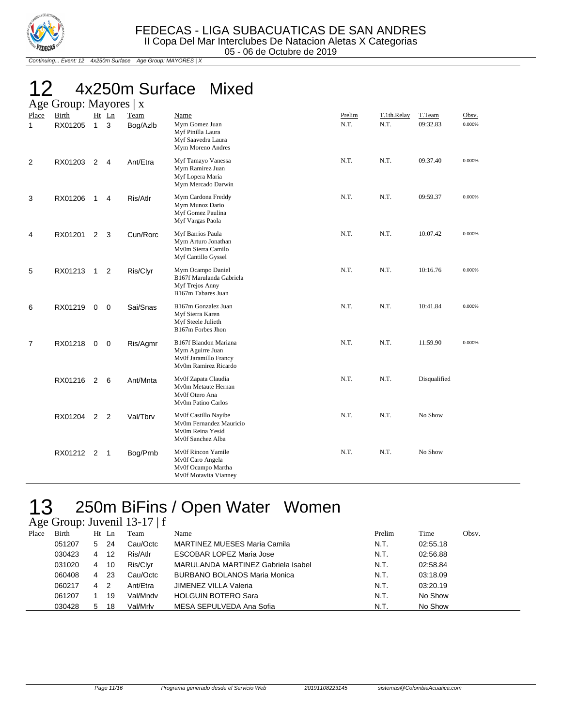

Continuing... Event: 12 4x250m Surface Age Group: MAYORES | X

## 12 4x250m Surface Mixed Age Group: Mayores | x

| − ح- ∙                | $\frac{1}{2}$           |                |                |                  |                                                                                            |                |                     |                    |                 |
|-----------------------|-------------------------|----------------|----------------|------------------|--------------------------------------------------------------------------------------------|----------------|---------------------|--------------------|-----------------|
| Place<br>$\mathbf{1}$ | <b>Birth</b><br>RX01205 | 1              | $Ht$ Ln<br>3   | Team<br>Bog/Azlb | Name<br>Mym Gomez Juan<br>Myf Pinilla Laura<br>Myf Saavedra Laura<br>Mym Moreno Andres     | Prelim<br>N.T. | T.1th.Relay<br>N.T. | T.Team<br>09:32.83 | Obsv.<br>0.000% |
| 2                     | RX01203                 | 2              | 4              | Ant/Etra         | Myf Tamayo Vanessa<br>Mym Ramirez Juan<br>Myf Lopera Maria<br>Mym Mercado Darwin           | N.T.           | N.T.                | 09:37.40           | 0.000%          |
| 3                     | RX01206                 | $\mathbf{1}$   | 4              | Ris/Atlr         | Mym Cardona Freddy<br>Mym Munoz Dario<br>Myf Gomez Paulina<br>Myf Vargas Paola             | N.T.           | N.T.                | 09:59.37           | 0.000%          |
| 4                     | RX01201                 | $\overline{2}$ | 3              | Cun/Rorc         | Myf Barrios Paula<br>Mym Arturo Jonathan<br>Mv0m Sierra Camilo<br>Myf Cantillo Gyssel      | N.T.           | N.T.                | 10:07.42           | 0.000%          |
| 5                     | RX01213                 | $\overline{1}$ | $\overline{2}$ | Ris/Clyr         | Mym Ocampo Daniel<br>B167f Marulanda Gabriela<br>Myf Trejos Anny<br>B167m Tabares Juan     | N.T.           | N.T.                | 10:16.76           | 0.000%          |
| 6                     | RX01219                 | $\mathbf 0$    | $\mathbf 0$    | Sai/Snas         | B167m Gonzalez Juan<br>Myf Sierra Karen<br>Myf Steele Julieth<br>B167m Forbes Jhon         | N.T.           | N.T.                | 10:41.84           | 0.000%          |
| $\overline{7}$        | RX01218                 | $\mathbf 0$    | $\overline{0}$ | Ris/Agmr         | B167f Blandon Mariana<br>Mym Aguirre Juan<br>Mv0f Jaramillo Francy<br>Mv0m Ramirez Ricardo | N.T.           | N.T.                | 11:59.90           | 0.000%          |
|                       | RX01216                 | 2              | 6              | Ant/Mnta         | Mv0f Zapata Claudia<br>My0m Metaute Hernan<br>Mv0f Otero Ana<br>Mv0m Patino Carlos         | N.T.           | N.T.                | Disqualified       |                 |
|                       | RX01204 2 2             |                |                | Val/Tbrv         | Mv0f Castillo Nayibe<br>Mv0m Fernandez Mauricio<br>Mv0m Reina Yesid<br>Mv0f Sanchez Alba   | N.T.           | N.T.                | No Show            |                 |
|                       | RX01212 2               |                | $\mathbf{1}$   | Bog/Prnb         | Mv0f Rincon Yamile<br>Mv0f Caro Angela<br>Mv0f Ocampo Martha<br>Mv0f Motavita Vianney      | N.T.           | N.T.                | No Show            |                 |

# 13 250m BiFins / Open Water Women

Age Group: Juvenil 13-17 | f

| Place | Birth  | Ht | Ln  | Team     | <u>Name</u>                         | Prelim | <b>Time</b> | Obsv. |
|-------|--------|----|-----|----------|-------------------------------------|--------|-------------|-------|
|       | 051207 | 5. | -24 | Cau/Octc | MARTINEZ MUESES Maria Camila        | N.T.   | 02:55.18    |       |
|       | 030423 | 4  | 12  | Ris/Atlr | <b>ESCOBAR LOPEZ Maria Jose</b>     | N.T.   | 02:56.88    |       |
|       | 031020 | 4  | 10  | Ris/Clyr | MARULANDA MARTINEZ Gabriela Isabel  | N.T.   | 02:58.84    |       |
|       | 060408 | 4  | -23 | Cau/Octc | <b>BURBANO BOLANOS Maria Monica</b> | N.T.   | 03:18.09    |       |
|       | 060217 | 4  | -2  | Ant/Etra | <b>JIMENEZ VILLA Valeria</b>        | N.T.   | 03:20.19    |       |
|       | 061207 |    | 19  | Val/Mndv | <b>HOLGUIN BOTERO Sara</b>          | N.T.   | No Show     |       |
|       | 030428 | 5  | 18  | Val/Mrlv | MESA SEPULVEDA Ana Sofia            | N.T.   | No Show     |       |
|       |        |    |     |          |                                     |        |             |       |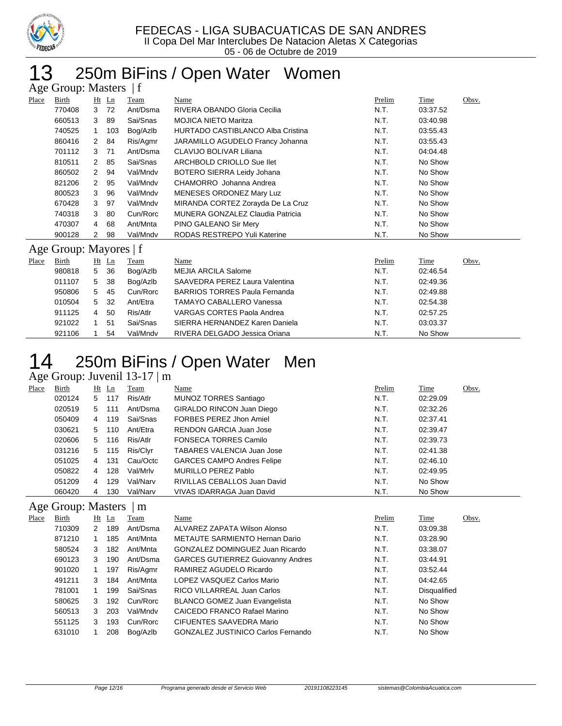

## 250m BiFins / Open Water Women Age Group: Masters | f

|       | $T_{\rm AC}$ Oroup. Masives $T_{\rm A}$ |    |         |          |                                          |        |          |       |  |  |  |
|-------|-----------------------------------------|----|---------|----------|------------------------------------------|--------|----------|-------|--|--|--|
| Place | Birth                                   |    | $Ht$ Ln | Team     | Name                                     | Prelim | Time     | Obsv. |  |  |  |
|       | 770408                                  | 3  | 72      | Ant/Dsma | RIVERA OBANDO Gloria Cecilia             | N.T.   | 03:37.52 |       |  |  |  |
|       | 660513                                  | 3  | 89      | Sai/Snas | <b>MOJICA NIETO Maritza</b>              | N.T.   | 03:40.98 |       |  |  |  |
|       | 740525                                  | 1. | 103     | Bog/Azlb | <b>HURTADO CASTIBLANCO Alba Cristina</b> | N.T.   | 03:55.43 |       |  |  |  |
|       | 860416                                  |    | 2 84    | Ris/Agmr | JARAMILLO AGUDELO Francy Johanna         | N.T.   | 03:55.43 |       |  |  |  |
|       | 701112                                  | 3  | 71      | Ant/Dsma | CLAVIJO BOLIVAR Liliana                  | N.T.   | 04:04.48 |       |  |  |  |
|       | 810511                                  |    | 2 85    | Sai/Snas | ARCHBOLD CRIOLLO Sue llet                | N.T.   | No Show  |       |  |  |  |
|       | 860502                                  |    | 2 94    | Val/Mndv | BOTERO SIERRA Leidy Johana               | N.T.   | No Show  |       |  |  |  |
|       | 821206                                  | 2  | 95      | Val/Mndv | CHAMORRO Johanna Andrea                  | N.T.   | No Show  |       |  |  |  |
|       | 800523                                  | 3  | 96      | Val/Mndv | MENESES ORDONEZ Mary Luz                 | N.T.   | No Show  |       |  |  |  |
|       | 670428                                  | 3  | 97      | Val/Mndv | MIRANDA CORTEZ Zorayda De La Cruz        | N.T.   | No Show  |       |  |  |  |
|       | 740318                                  | 3  | 80      | Cun/Rorc | MUNERA GONZALEZ Claudia Patricia         | N.T.   | No Show  |       |  |  |  |
|       | 470307                                  | 4  | 68      | Ant/Mnta | PINO GALEANO Sir Mery                    | N.T.   | No Show  |       |  |  |  |
|       | 900128                                  | 2  | 98      | Val/Mndv | RODAS RESTREPO Yuli Katerine             | N.T.   | No Show  |       |  |  |  |
|       | Age Group: Mayores   f                  |    |         |          |                                          |        |          |       |  |  |  |
| Place | Birth                                   |    | $Ht$ Ln | Team     | Name                                     | Prelim | Time     | Obsv. |  |  |  |
|       | 980818                                  | 5  | 36      | Bog/Azlb | <b>MEJIA ARCILA Salome</b>               | N.T.   | 02:46.54 |       |  |  |  |
|       | 011107                                  | 5  | 38      | Bog/Azlb | SAAVEDRA PEREZ Laura Valentina           | N.T.   | 02:49.36 |       |  |  |  |

| 011107 |                |      | 5 38 Bog/Azlb | SAAVEDRA PEREZ Laura Valentina       | N.T. | 02:49.36 |
|--------|----------------|------|---------------|--------------------------------------|------|----------|
| 950806 | 5              | -45  | Cun/Rorc      | <b>BARRIOS TORRES Paula Fernanda</b> | N.T. | 02:49.88 |
| 010504 |                | 5 32 | Ant/Etra      | TAMAYO CABALLERO Vanessa             | N.T. | 02:54.38 |
| 911125 | $\overline{4}$ | -50  | Ris/Atlr      | VARGAS CORTES Paola Andrea           | N.T. | 02:57.25 |
| 921022 |                | 51   | Sai/Snas      | SIERRA HERNANDEZ Karen Daniela       | N.T. | 03:03.37 |
| 921106 |                | 54   | Val/Mndv      | RIVERA DELGADO Jessica Oriana        | N.T. | No Show  |

# 250m BiFins / Open Water Men

#### Age Group: Juvenil  $13-17 \mid m$ <br>Place Birth Ht Ln Team <u>Place Birth Ht Ln Team Name</u> Place Here are Prelim Time Obsv. 020124 5 117 Ris/Atlr MUNOZ TORRES Santiago N.T. 02:29.09 020519 5 111 Ant/Dsma GIRALDO RINCON Juan Diego N.T. 02:32.26 4 119 Sai/Snas FORBES PEREZ Jhon Amiel N.T. 02:37.41 030621 5 110 Ant/Etra RENDON GARCIA Juan Jose N.T. 02:39.47 020606 5 116 Ris/Atlr FONSECA TORRES Camilo CONSECT N.T. 02:39.73 031216 5 115 Ris/Clyr TABARES VALENCIA Juan Jose N.T. 02:41.38 051025 4 131 Cau/Octc GARCES CAMPO Andres Felipe **N.T.** 02:46.10 4 128 Val/Mrlv MURILLO PEREZ Pablo N.T. 02:49.95 051209 4 129 Val/Narv RIVILLAS CEBALLOS Juan David N.T. No Show 060420 4 130 Val/Narv VIVAS IDARRAGA Juan David N.T. No Show

### Age Group: Masters | m

| Place | Birth  | $Ht$ Ln |     | Team     | Name                                      | Prelim | Time                | Obsv. |
|-------|--------|---------|-----|----------|-------------------------------------------|--------|---------------------|-------|
|       | 710309 | 2       | 189 | Ant/Dsma | ALVAREZ ZAPATA Wilson Alonso              | N.T.   | 03:09.38            |       |
|       | 871210 |         | 185 | Ant/Mnta | METAUTE SARMIENTO Hernan Dario            | N.T.   | 03:28.90            |       |
|       | 580524 | 3       | 182 | Ant/Mnta | GONZALEZ DOMINGUEZ Juan Ricardo           | N.T.   | 03:38.07            |       |
|       | 690123 | 3       | 190 | Ant/Dsma | <b>GARCES GUTIERREZ Guiovanny Andres</b>  | N.T.   | 03:44.91            |       |
|       | 901020 |         | 197 | Ris/Agmr | RAMIREZ AGUDELO Ricardo                   | N.T.   | 03:52.44            |       |
|       | 491211 | 3       | 184 | Ant/Mnta | LOPEZ VASQUEZ Carlos Mario                | N.T.   | 04:42.65            |       |
|       | 781001 |         | 199 | Sai/Snas | RICO VILLARREAL Juan Carlos               | N.T.   | <b>Disqualified</b> |       |
|       | 580625 | 3       | 192 | Cun/Rorc | BLANCO GOMEZ Juan Evangelista             | N.T.   | No Show             |       |
|       | 560513 | 3       | 203 | Val/Mndv | CAICEDO FRANCO Rafael Marino              | N.T.   | No Show             |       |
|       | 551125 | 3       | 193 | Cun/Rorc | CIFUENTES SAAVEDRA Mario                  | N.T.   | No Show             |       |
|       | 631010 |         | 208 | Bog/Azlb | <b>GONZALEZ JUSTINICO Carlos Fernando</b> | N.T.   | No Show             |       |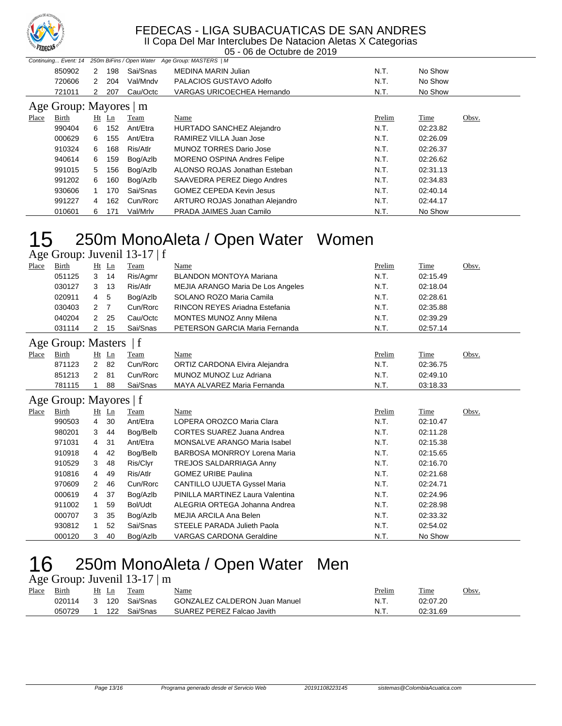

II Copa Del Mar Interclubes De Natacion Aletas X Categorias 05 - 06 de Octubre de 2019

|       | Continuing Event: 14   |   |         |          | 250m BiFins / Open Water Age Group: MASTERS   M |        |          |       |  |  |  |
|-------|------------------------|---|---------|----------|-------------------------------------------------|--------|----------|-------|--|--|--|
|       | 850902                 | 2 | 198     | Sai/Snas | <b>MEDINA MARIN Julian</b>                      | N.T.   | No Show  |       |  |  |  |
|       | 720606                 | 2 | 204     | Val/Mndv | PALACIOS GUSTAVO Adolfo                         | N.T.   | No Show  |       |  |  |  |
|       | 721011                 | 2 | 207     | Cau/Octc | <b>VARGAS URICOECHEA Hernando</b>               | N.T.   | No Show  |       |  |  |  |
|       | Age Group: Mayores   m |   |         |          |                                                 |        |          |       |  |  |  |
| Place | Birth                  |   | $Ht$ Ln | Team     | Name                                            | Prelim | Time     | Obsv. |  |  |  |
|       | 990404                 | 6 | 152     | Ant/Etra | HURTADO SANCHEZ Alejandro                       | N.T.   | 02:23.82 |       |  |  |  |
|       | 000629                 | 6 | 155     | Ant/Etra | RAMIREZ VILLA Juan Jose                         | N.T.   | 02:26.09 |       |  |  |  |
|       | 910324                 | 6 | 168     | Ris/Atlr | <b>MUNOZ TORRES Dario Jose</b>                  | N.T.   | 02:26.37 |       |  |  |  |
|       | 940614                 | 6 | 159     | Bog/Azlb | MORENO OSPINA Andres Felipe                     | N.T.   | 02:26.62 |       |  |  |  |
|       | 991015                 | 5 | 156     | Bog/Azlb | ALONSO ROJAS Jonathan Esteban                   | N.T.   | 02:31.13 |       |  |  |  |
|       | 991202                 | 6 | 160     | Bog/Azlb | SAAVEDRA PEREZ Diego Andres                     | N.T.   | 02:34.83 |       |  |  |  |
|       | 930606                 |   | 170     | Sai/Snas | <b>GOMEZ CEPEDA Kevin Jesus</b>                 | N.T.   | 02:40.14 |       |  |  |  |
|       | 991227                 | 4 | 162     | Cun/Rorc | ARTURO ROJAS Jonathan Alejandro                 | N.T.   | 02:44.17 |       |  |  |  |
|       | 010601                 | 6 | 171     | Val/Mrlv | PRADA JAIMES Juan Camilo                        | N.T.   | No Show  |       |  |  |  |

# 250m MonoAleta / Open Water Women

|                        | Age Group: Juvenil 13-17   f |                |         |          |                                          |        |          |       |  |  |  |
|------------------------|------------------------------|----------------|---------|----------|------------------------------------------|--------|----------|-------|--|--|--|
| Place                  | <b>Birth</b>                 |                | Ht Ln   | Team     | Name                                     | Prelim | Time     | Obsv. |  |  |  |
|                        | 051125                       | 3              | 14      | Ris/Agmr | <b>BLANDON MONTOYA Mariana</b>           | N.T.   | 02:15.49 |       |  |  |  |
|                        | 030127                       | 3              | 13      | Ris/Atlr | <b>MEJIA ARANGO Maria De Los Angeles</b> | N.T.   | 02:18.04 |       |  |  |  |
|                        | 020911                       | 4              | 5       | Bog/Azlb | SOLANO ROZO Maria Camila                 | N.T.   | 02:28.61 |       |  |  |  |
|                        | 030403                       | $\overline{2}$ | 7       | Cun/Rorc | RINCON REYES Ariadna Estefania           | N.T.   | 02:35.88 |       |  |  |  |
|                        | 040204                       | 2              | 25      | Cau/Octc | MONTES MUNOZ Anny Milena                 | N.T.   | 02:39.29 |       |  |  |  |
|                        | 031114                       | 2              | 15      | Sai/Snas | PETERSON GARCIA Maria Fernanda           | N.T.   | 02:57.14 |       |  |  |  |
|                        | Age Group: Masters   f       |                |         |          |                                          |        |          |       |  |  |  |
| Place                  | <b>Birth</b>                 |                | Ht Ln   | Team     | Name                                     | Prelim | Time     | Obsv. |  |  |  |
|                        | 871123                       | $\overline{2}$ | 82      | Cun/Rorc | ORTIZ CARDONA Elvira Alejandra           | N.T.   | 02:36.75 |       |  |  |  |
|                        | 851213                       | 2              | 81      | Cun/Rorc | MUNOZ MUNOZ Luz Adriana                  | N.T.   | 02:49.10 |       |  |  |  |
|                        | 781115                       |                | 88      | Sai/Snas | MAYA ALVAREZ Maria Fernanda              | N.T.   | 03:18.33 |       |  |  |  |
| Age Group: Mayores   f |                              |                |         |          |                                          |        |          |       |  |  |  |
| <b>Place</b>           | <b>Birth</b>                 |                | $Ht$ Ln | Team     | Name                                     | Prelim | Time     | Obsv. |  |  |  |
|                        | 990503                       | 4              | 30      | Ant/Etra | LOPERA OROZCO Maria Clara                | N.T.   | 02:10.47 |       |  |  |  |
|                        | 980201                       | 3              | 44      | Bog/Belb | <b>CORTES SUAREZ Juana Andrea</b>        | N.T.   | 02:11.28 |       |  |  |  |
|                        | 971031                       | 4              | 31      | Ant/Etra | MONSALVE ARANGO Maria Isabel             | N.T.   | 02:15.38 |       |  |  |  |
|                        | 910918                       | 4              | 42      | Bog/Belb | BARBOSA MONRROY Lorena Maria             | N.T.   | 02:15.65 |       |  |  |  |
|                        | 910529                       | 3              | 48      | Ris/Clyr | TREJOS SALDARRIAGA Anny                  | N.T.   | 02:16.70 |       |  |  |  |
|                        | 910816                       | 4              | 49      | Ris/Atlr | <b>GOMEZ URIBE Paulina</b>               | N.T.   | 02:21.68 |       |  |  |  |
|                        | 970609                       | 2              | 46      | Cun/Rorc | CANTILLO UJUETA Gyssel Maria             | N.T.   | 02:24.71 |       |  |  |  |
|                        | 000619                       | 4              | 37      | Bog/Azlb | PINILLA MARTINEZ Laura Valentina         | N.T.   | 02:24.96 |       |  |  |  |
|                        | 911002                       | 1              | 59      | Bol/Udt  | ALEGRIA ORTEGA Johanna Andrea            | N.T.   | 02:28.98 |       |  |  |  |
|                        | 000707                       | 3              | 35      | Bog/Azlb | <b>MEJIA ARCILA Ana Belen</b>            | N.T.   | 02:33.32 |       |  |  |  |
|                        | 930812                       | 1              | 52      | Sai/Snas | <b>STEELE PARADA Julieth Paola</b>       | N.T.   | 02:54.02 |       |  |  |  |
|                        | 000120                       | 3              | 40      | Bog/Azlb | <b>VARGAS CARDONA Geraldine</b>          | N.T.   | No Show  |       |  |  |  |

### 250m MonoAleta / Open Water Men Age Group: Juvenil 13-17 | m

|       | $1.88$ Oroup. $300$ Cm $1.5 - 17$   m |  |       |                |                                      |        |          |       |  |  |  |  |  |
|-------|---------------------------------------|--|-------|----------------|--------------------------------------|--------|----------|-------|--|--|--|--|--|
| Place | Birth                                 |  | Ht Ln | Team           | <u>Name</u>                          | Prelim | Time     | Obsv. |  |  |  |  |  |
|       | 020114                                |  |       | 3 120 Sai/Snas | <b>GONZALEZ CALDERON Juan Manuel</b> | N.T.   | 02:07.20 |       |  |  |  |  |  |
|       | 050729                                |  |       | 122 Sai/Snas   | SUAREZ PEREZ Falcao Javith           | .N.T   | 02:31.69 |       |  |  |  |  |  |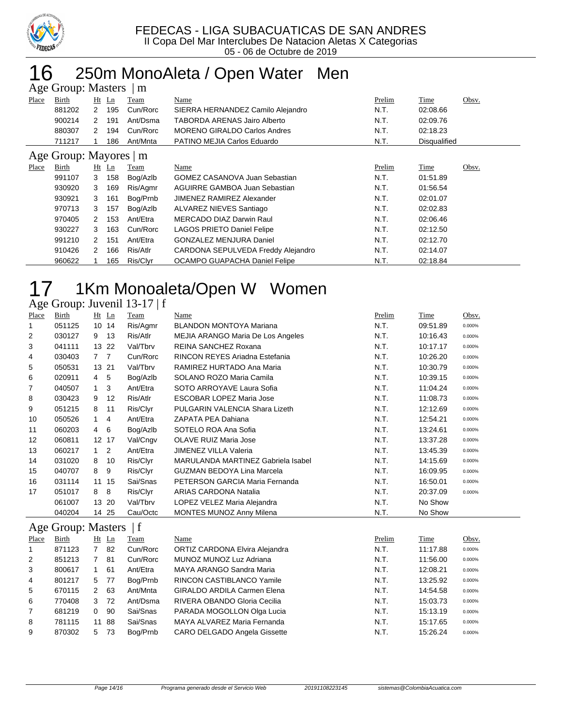

## 250m MonoAleta / Open Water Men Age Group: Masters | m

|                        | $T_{\rm AC}$ Oroup. Masters<br>$\overline{1}$ |                      |         |          |                                      |        |              |       |  |  |
|------------------------|-----------------------------------------------|----------------------|---------|----------|--------------------------------------|--------|--------------|-------|--|--|
| Place                  | Birth                                         |                      | $Ht$ Ln | Team     | Name                                 | Prelim | Time         | Obsv. |  |  |
|                        | 881202                                        | 2                    | 195     | Cun/Rorc | SIERRA HERNANDEZ Camilo Alejandro    | N.T.   | 02:08.66     |       |  |  |
|                        | 900214                                        | 2                    | 191     | Ant/Dsma | TABORDA ARENAS Jairo Alberto         | N.T.   | 02:09.76     |       |  |  |
|                        | 880307                                        | 2                    | 194     | Cun/Rorc | <b>MORENO GIRALDO Carlos Andres</b>  | N.T.   | 02:18.23     |       |  |  |
|                        | 711217                                        |                      | 186     | Ant/Mnta | PATINO MEJIA Carlos Eduardo          | N.T.   | Disqualified |       |  |  |
| Age Group: Mayores   m |                                               |                      |         |          |                                      |        |              |       |  |  |
| Place                  | Birth                                         |                      | $Ht$ Ln | Team     | Name                                 | Prelim | Time         | Obsv. |  |  |
|                        | 991107                                        | 3                    | 158     | Bog/Azlb | <b>GOMEZ CASANOVA Juan Sebastian</b> | N.T.   | 01:51.89     |       |  |  |
|                        | 930920                                        | 3                    | 169     | Ris/Agmr | AGUIRRE GAMBOA Juan Sebastian        | N.T.   | 01:56.54     |       |  |  |
|                        | 930921                                        | 3                    | 161     | Bog/Prnb | <b>JIMENEZ RAMIREZ Alexander</b>     | N.T.   | 02:01.07     |       |  |  |
|                        | 970713                                        | 3                    | 157     | Bog/Azlb | ALVAREZ NIEVES Santiago              | N.T.   | 02:02.83     |       |  |  |
|                        | 970405                                        | 2                    | 153     | Ant/Etra | <b>MERCADO DIAZ Darwin Raul</b>      | N.T.   | 02:06.46     |       |  |  |
|                        | 930227                                        | 3                    | 163     | Cun/Rorc | <b>LAGOS PRIETO Daniel Felipe</b>    | N.T.   | 02:12.50     |       |  |  |
|                        | 991210                                        | $\mathcal{P} \equiv$ | 151     | Ant/Etra | <b>GONZALEZ MENJURA Daniel</b>       | N.T.   | 02:12.70     |       |  |  |
|                        | 910426                                        | 2                    | 166     | Ris/Atlr | CARDONA SEPULVEDA Freddy Alejandro   | N.T.   | 02:14.07     |       |  |  |
|                        | 960622                                        |                      | 165     | Ris/Clyr | OCAMPO GUAPACHA Daniel Felipe        | N.T.   | 02:18.84     |       |  |  |

# 1Km Monoaleta/Open W Women

### Age Group: Juvenil 13-17 | f

| Place       | <b>Birth</b>              |                | $Ht$ Ln        | <b>Team</b> | <b>Name</b>                               | Prelim | <b>Time</b> | Obsv.  |
|-------------|---------------------------|----------------|----------------|-------------|-------------------------------------------|--------|-------------|--------|
| 1           | 051125                    |                | 10 14          | Ris/Agmr    | <b>BLANDON MONTOYA Mariana</b>            | N.T.   | 09:51.89    | 0.000% |
| 2           | 030127                    | 9              | 13             | Ris/Atlr    | <b>MEJIA ARANGO Maria De Los Angeles</b>  | N.T.   | 10:16.43    | 0.000% |
| 3           | 041111                    |                | 13 22          | Val/Tbrv    | REINA SANCHEZ Roxana                      | N.T.   | 10:17.17    | 0.000% |
| 4           | 030403                    | 7 <sub>7</sub> |                | Cun/Rorc    | RINCON REYES Ariadna Estefania            | N.T.   | 10:26.20    | 0.000% |
| 5           | 050531                    | 13 21          |                | Val/Tbrv    | RAMIREZ HURTADO Ana Maria                 | N.T.   | 10:30.79    | 0.000% |
| 6           | 020911                    | 4              | 5              | Bog/Azlb    | SOLANO ROZO Maria Camila                  | N.T.   | 10:39.15    | 0.000% |
| 7           | 040507                    | $\mathbf 1$    | 3              | Ant/Etra    | SOTO ARROYAVE Laura Sofia                 | N.T.   | 11:04.24    | 0.000% |
| 8           | 030423                    | 9              | 12             | Ris/Atlr    | <b>ESCOBAR LOPEZ Maria Jose</b>           | N.T.   | 11:08.73    | 0.000% |
| 9           | 051215                    | 8              | 11             | Ris/Clyr    | PULGARIN VALENCIA Shara Lizeth            | N.T.   | 12:12.69    | 0.000% |
| 10          | 050526                    | 1              | 4              | Ant/Etra    | ZAPATA PEA Dahiana                        | N.T.   | 12:54.21    | 0.000% |
| 11          | 060203                    | $\overline{4}$ | 6              | Bog/Azlb    | SOTELO ROA Ana Sofia                      | N.T.   | 13:24.61    | 0.000% |
| 12          | 060811                    | 12 17          |                | Val/Cngv    | <b>OLAVE RUIZ Maria Jose</b>              | N.T.   | 13:37.28    | 0.000% |
| 13          | 060217                    | $\mathbf{1}$   | $\overline{2}$ | Ant/Etra    | <b>JIMENEZ VILLA Valeria</b>              | N.T.   | 13:45.39    | 0.000% |
| 14          | 031020                    | 8              | 10             | Ris/Clyr    | <b>MARULANDA MARTINEZ Gabriela Isabel</b> | N.T.   | 14:15.69    | 0.000% |
| 15          | 040707                    | 8              | 9              | Ris/Clyr    | <b>GUZMAN BEDOYA Lina Marcela</b>         | N.T.   | 16:09.95    | 0.000% |
| 16          | 031114                    | 11 15          |                | Sai/Snas    | PETERSON GARCIA Maria Fernanda            | N.T.   | 16:50.01    | 0.000% |
| 17          | 051017                    | 8              | 8              | Ris/Clyr    | <b>ARIAS CARDONA Natalia</b>              | N.T.   | 20:37.09    | 0.000% |
|             | 061007                    |                | 13 20          | Val/Tbrv    | LOPEZ VELEZ Maria Alejandra               | N.T.   | No Show     |        |
|             | 040204                    |                | 14 25          | Cau/Octc    | <b>MONTES MUNOZ Anny Milena</b>           | N.T.   | No Show     |        |
|             | <b>Age Group: Masters</b> |                |                | f           |                                           |        |             |        |
| Place       | Birth                     |                | Ht Ln          | Team        | Name                                      | Prelim | Time        | Obsv.  |
| $\mathbf 1$ | 871123                    | $7^{\circ}$    | 82             | Cun/Rorc    | ORTIZ CARDONA Elvira Alejandra            | N.T.   | 11:17.88    | 0.000% |
| 2           | 851213                    | $\overline{7}$ | 81             | Cun/Rorc    | MUNOZ MUNOZ Luz Adriana                   | N.T.   | 11:56.00    | 0.000% |
| 3           | 800617                    | $\mathbf{1}$   | 61             | Ant/Etra    | MAYA ARANGO Sandra Maria                  | N.T.   | 12:08.21    | 0.000% |
| 4           | 801217                    | 5              | 77             | Bog/Prnb    | RINCON CASTIBLANCO Yamile                 | N.T.   | 13:25.92    | 0.000% |
| 5           | 670115                    | $\overline{2}$ | 63             | Ant/Mnta    | <b>GIRALDO ARDILA Carmen Elena</b>        | N.T.   | 14:54.58    | 0.000% |
| 6           | 770408                    | 3              | 72             | Ant/Dsma    | RIVERA OBANDO Gloria Cecilia              | N.T.   | 15:03.73    | 0.000% |
| 7           | 681219                    | 0              | 90             | Sai/Snas    | PARADA MOGOLLON Olga Lucia                | N.T.   | 15:13.19    | 0.000% |
| 8           | 781115                    | 11 88          |                | Sai/Snas    | MAYA ALVAREZ Maria Fernanda               | N.T.   | 15:17.65    | 0.000% |

870302 5 73 Bog/Prnb CARO DELGADO Angela Gissette N.T. 15:26.24 0.000%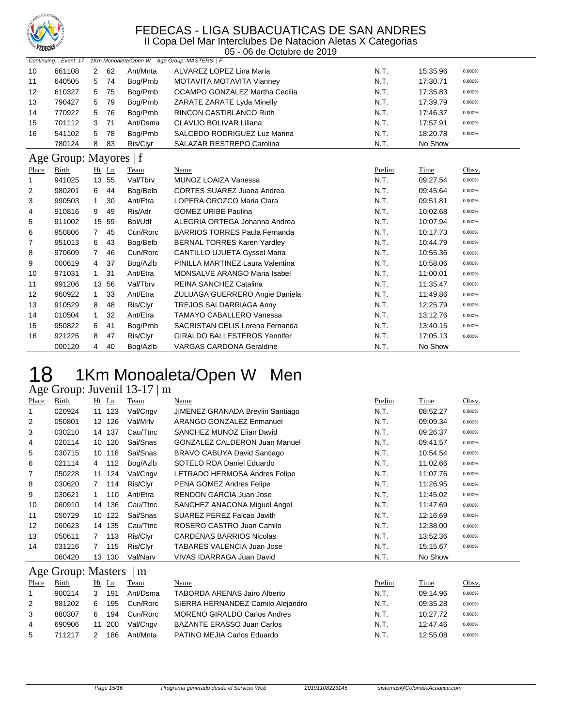

II Copa Del Mar Interclubes De Natacion Aletas X Categorias 05 - 06 de Octubre de 2019

|                   |        |   |      |          | Continuing Event: 17 1Km Monoaleta/Open W Age Group: MASTERS   F |      |          |        |
|-------------------|--------|---|------|----------|------------------------------------------------------------------|------|----------|--------|
| 10                | 661108 | 2 | 62   | Ant/Mnta | ALVAREZ LOPEZ Lina Maria                                         | N.T. | 15:35.96 | 0.000% |
| 11                | 640505 | 5 | - 74 | Bog/Prnb | MOTAVITA MOTAVITA Vianney                                        | N.T. | 17:30.71 | 0.000% |
| $12 \overline{ }$ | 610327 |   | 5 75 | Bog/Prnb | OCAMPO GONZALEZ Martha Cecilia                                   | N.T. | 17:35.83 | 0.000% |
| 13                | 790427 | 5 | - 79 | Bog/Prnb | ZARATE ZARATE Lyda Minelly                                       | N.T. | 17:39.79 | 0.000% |
| 14                | 770922 | 5 | 76   | Bog/Prnb | <b>RINCON CASTIBLANCO Ruth</b>                                   | N.T. | 17:46.37 | 0.000% |
| 15                | 701112 | 3 | 71   | Ant/Dsma | CLAVIJO BOLIVAR Liliana                                          | N.T. | 17:57.91 | 0.000% |
| 16                | 541102 | 5 | 78   | Bog/Prnb | SALCEDO RODRIGUEZ Luz Marina                                     | N.T. | 18:20.78 | 0.000% |
|                   | 780124 | 8 | -83  | Ris/Clyr | SALAZAR RESTREPO Carolina                                        | N.T. | No Show  |        |

### Age Group: Mayores | f

| - -0  |        | – – – – – <b>–</b> – |    |          |                                        |        |          |        |  |  |  |
|-------|--------|----------------------|----|----------|----------------------------------------|--------|----------|--------|--|--|--|
| Place | Birth  | $Ht$ Ln              |    | Team     | Name                                   | Prelim | Time     | Obsv.  |  |  |  |
|       | 941025 | 13 55                |    | Val/Tbrv | <b>MUNOZ LOAIZA Vanessa</b>            | N.T.   | 09.27.54 | 0.000% |  |  |  |
| 2     | 980201 | 6                    | 44 | Bog/Belb | <b>CORTES SUAREZ Juana Andrea</b>      | N.T.   | 09:45.64 | 0.000% |  |  |  |
| 3     | 990503 |                      | 30 | Ant/Etra | LOPERA OROZCO Maria Clara              | N.T.   | 09:51.81 | 0.000% |  |  |  |
| 4     | 910816 | 9                    | 49 | Ris/Atlr | <b>GOMEZ URIBE Paulina</b>             | N.T.   | 10:02.68 | 0.000% |  |  |  |
| 5     | 911002 | 15 59                |    | Bol/Udt  | ALEGRIA ORTEGA Johanna Andrea          | N.T.   | 10:07.94 | 0.000% |  |  |  |
| 6     | 950806 | 7                    | 45 | Cun/Rorc | <b>BARRIOS TORRES Paula Fernanda</b>   | N.T.   | 10:17.73 | 0.000% |  |  |  |
| 7     | 951013 | 6                    | 43 | Bog/Belb | <b>BERNAL TORRES Karen Yardley</b>     | N.T.   | 10:44.79 | 0.000% |  |  |  |
| 8     | 970609 | $\overline{7}$       | 46 | Cun/Rorc | <b>CANTILLO UJUETA Gyssel Maria</b>    | N.T.   | 10:55.36 | 0.000% |  |  |  |
| 9     | 000619 | 4                    | 37 | Bog/Azlb | PINILLA MARTINEZ Laura Valentina       | N.T.   | 10:58.06 | 0.000% |  |  |  |
| 10    | 971031 | 1                    | 31 | Ant/Etra | <b>MONSALVE ARANGO Maria Isabel</b>    | N.T.   | 11:00.01 | 0.000% |  |  |  |
| 11    | 991206 | 13 56                |    | Val/Tbrv | <b>REINA SANCHEZ Catalina</b>          | N.T.   | 11:35.47 | 0.000% |  |  |  |
| 12    | 960922 | $\mathbf{1}$         | 33 | Ant/Etra | ZULUAGA GUERRERO Angie Daniela         | N.T.   | 11:49.86 | 0.000% |  |  |  |
| 13    | 910529 | 8                    | 48 | Ris/Clyr | TREJOS SALDARRIAGA Anny                | N.T.   | 12:25.79 | 0.000% |  |  |  |
| 14    | 010504 |                      | 32 | Ant/Etra | TAMAYO CABALLERO Vanessa               | N.T.   | 13:12.76 | 0.000% |  |  |  |
| 15    | 950822 | 5                    | 41 | Bog/Prnb | <b>SACRISTAN CELIS Lorena Fernanda</b> | N.T.   | 13:40.15 | 0.000% |  |  |  |
| 16    | 921225 | 8                    | 47 | Ris/Clyr | <b>GIRALDO BALLESTEROS Yennifer</b>    | N.T.   | 17:05.13 | 0.000% |  |  |  |
|       | 000120 | 4                    | 40 | Bog/Azlb | <b>VARGAS CARDONA Geraldine</b>        | N.T.   | No Show  |        |  |  |  |

# 18 1Km Monoaleta/Open W Men

### Age Group: Juvenil 13-17 | m

| Place          | Birth  | $Ht$ Ln        |        | Team     | Name                                 | Prelim | Time     | Obsv.  |
|----------------|--------|----------------|--------|----------|--------------------------------------|--------|----------|--------|
| 1              | 020924 | 11             | 123    | Val/Cngv | JIMENEZ GRANADA Breylin Santiago     | N.T.   | 08:52.27 | 0.000% |
| $\overline{2}$ | 050801 |                | 12 126 | Val/Mrlv | ARANGO GONZALEZ Enmanuel             | N.T.   | 09:09.34 | 0.000% |
| 3              | 030210 |                | 14 137 | Cau/Ttnc | SANCHEZ MUNOZ Elian David            | N.T.   | 09:26.37 | 0.000% |
| 4              | 020114 | 10             | 120    | Sai/Snas | <b>GONZALEZ CALDERON Juan Manuel</b> | N.T.   | 09:41.57 | 0.000% |
| 5              | 030715 |                | 10 118 | Sai/Snas | BRAVO CABUYA David Santiago          | N.T.   | 10:54.54 | 0.000% |
| 6              | 021114 | 4              | 112    | Bog/Azlb | SOTELO ROA Daniel Eduardo            | N.T.   | 11:02.66 | 0.000% |
| 7              | 050228 | 11             | 124    | Val/Cngv | LETRADO HERMOSA Andres Felipe        | N.T.   | 11:07.76 | 0.000% |
| 8              | 030620 | $\overline{7}$ | 114    | Ris/Clyr | PENA GOMEZ Andres Felipe             | N.T.   | 11:26.95 | 0.000% |
| 9              | 030621 |                | 110    | Ant/Etra | <b>RENDON GARCIA Juan Jose</b>       | N.T.   | 11:45.02 | 0.000% |
| 10             | 060910 |                | 14 136 | Cau/Ttnc | SANCHEZ ANACONA Miquel Angel         | N.T.   | 11:47.69 | 0.000% |
| 11             | 050729 | 10             | 122    | Sai/Snas | SUAREZ PEREZ Falcao Javith           | N.T.   | 12:16.69 | 0.000% |
| 12             | 060623 |                | 14 135 | Cau/Ttnc | ROSERO CASTRO Juan Camilo            | N.T.   | 12:38.00 | 0.000% |
| 13             | 050611 |                | 113    | Ris/Clyr | <b>CARDENAS BARRIOS Nicolas</b>      | N.T.   | 13:52.36 | 0.000% |
| 14             | 031216 |                | 115    | Ris/Clyr | TABARES VALENCIA Juan Jose           | N.T.   | 15:15.67 | 0.000% |
|                | 060420 | 13             | 130    | Val/Narv | VIVAS IDARRAGA Juan David            | N.T.   | No Show  |        |
|                |        |                |        |          |                                      |        |          |        |

## Age Group: Masters | m

| Place | Birth  | Ht Ln      | <b>Team</b> | Name                                | Prelim | Time     | Obsv.  |
|-------|--------|------------|-------------|-------------------------------------|--------|----------|--------|
|       | 900214 | 191<br>3   | Ant/Dsma    | <b>TABORDA ARENAS Jairo Alberto</b> | N.T.   | 09:14.96 | 0.000% |
| 2     | 881202 | 195<br>6   | Cun/Rorc    | SIERRA HERNANDEZ Camilo Alejandro   | N.T.   | 09:35.28 | 0.000% |
| 3     | 880307 | 194<br>6.  | Cun/Rorc    | <b>MORENO GIRALDO Carlos Andres</b> | N.T.   | 10:27.72 | 0.000% |
| 4     | 690906 | -200<br>11 | Val/Cngv    | <b>BAZANTE ERASSO Juan Carlos</b>   | N.T.   | 12:47.46 | 0.000% |
| 5     | 711217 | 186        | Ant/Mnta    | PATINO MEJIA Carlos Eduardo         | N.T.   | 12:55.08 | 0.000% |